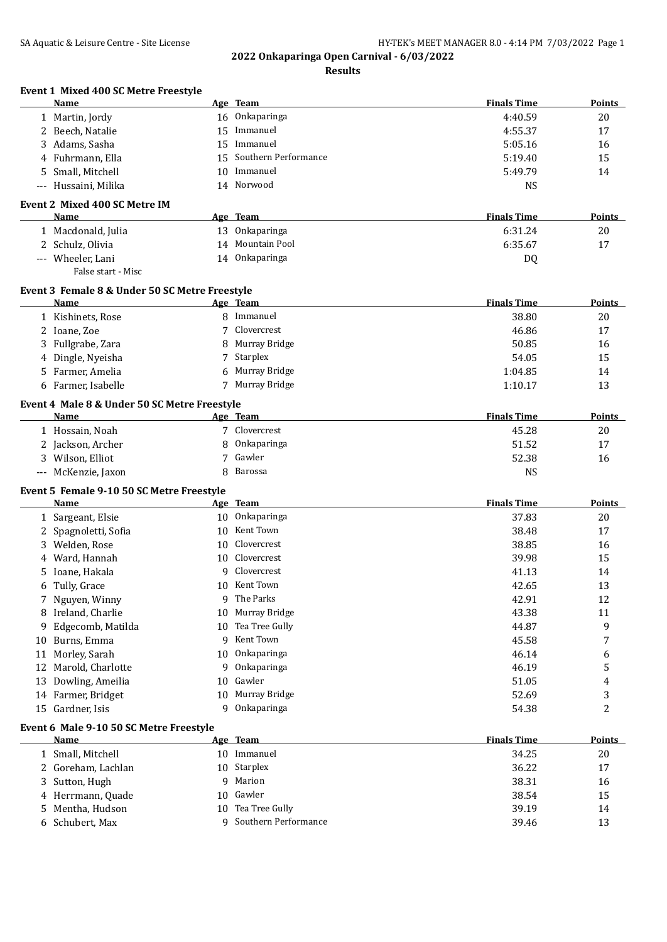| Event 1 Mixed 400 SC Metre Freestyle<br>Name      |         | Age Team                     | <b>Finals Time</b> | Points        |
|---------------------------------------------------|---------|------------------------------|--------------------|---------------|
| 1 Martin, Jordy                                   |         | 16 Onkaparinga               | 4:40.59            | 20            |
| 2 Beech, Natalie                                  | 15      | Immanuel                     | 4:55.37            | 17            |
| 3 Adams, Sasha                                    | 15      | Immanuel                     | 5:05.16            | 16            |
| 4 Fuhrmann, Ella                                  | 15      | Southern Performance         | 5:19.40            | 15            |
| 5 Small, Mitchell                                 | 10      | Immanuel                     | 5:49.79            | 14            |
| Hussaini, Milika<br>$---$                         |         | 14 Norwood                   | <b>NS</b>          |               |
| Event 2 Mixed 400 SC Metre IM                     |         |                              |                    |               |
| Name                                              |         | Age Team                     | <b>Finals Time</b> | Points        |
| 1 Macdonald, Julia                                |         | 13 Onkaparinga               | 6:31.24            | 20            |
| 2 Schulz, Olivia                                  |         | 14 Mountain Pool             | 6:35.67            | 17            |
| --- Wheeler, Lani<br>False start - Misc           |         | 14 Onkaparinga               | <b>DQ</b>          |               |
| Event 3 Female 8 & Under 50 SC Metre Freestyle    |         |                              |                    |               |
| <b>Name</b>                                       |         | Age Team                     | <b>Finals Time</b> | <b>Points</b> |
| 1 Kishinets, Rose                                 |         | 8 Immanuel                   | 38.80              | 20            |
| 2 Ioane, Zoe                                      | 7       | Clovercrest                  | 46.86              | 17            |
| 3 Fullgrabe, Zara                                 |         | 8 Murray Bridge              | 50.85              | 16            |
| 4 Dingle, Nyeisha                                 |         | 7 Starplex                   | 54.05              | 15            |
| 5 Farmer, Amelia                                  |         | 6 Murray Bridge              | 1:04.85            | 14            |
| 6 Farmer, Isabelle                                |         | 7 Murray Bridge              | 1:10.17            | 13            |
| Event 4 Male 8 & Under 50 SC Metre Freestyle      |         |                              |                    |               |
| Name                                              |         | Age Team                     | <b>Finals Time</b> | <b>Points</b> |
| 1 Hossain, Noah                                   |         | 7 Clovercrest                | 45.28              | 20            |
| 2 Jackson, Archer                                 | 8       | Onkaparinga                  | 51.52              | 17            |
| 3 Wilson, Elliot                                  |         | 7 Gawler                     | 52.38              | 16            |
| --- McKenzie, Jaxon                               |         | 8 Barossa                    | <b>NS</b>          |               |
| Event 5 Female 9-10 50 SC Metre Freestyle<br>Name |         |                              | <b>Finals Time</b> | Points        |
| 1 Sargeant, Elsie                                 |         | Age Team<br>10 Onkaparinga   | 37.83              | 20            |
| 2 Spagnoletti, Sofia                              | 10      | Kent Town                    | 38.48              | 17            |
| 3 Welden, Rose                                    | 10      | Clovercrest                  | 38.85              | 16            |
| 4 Ward, Hannah                                    | 10      | Clovercrest                  | 39.98              | 15            |
| Ioane, Hakala                                     | 9       | Clovercrest                  | 41.13              | 14            |
|                                                   |         | 10 Kent Town                 |                    |               |
| Tully, Grace<br>6                                 |         | 9 The Parks                  | 42.65              | 13            |
| 7 Nguyen, Winny<br>8 Ireland, Charlie             |         | Murray Bridge                | 42.91<br>43.38     | 12            |
|                                                   | 10      | Tea Tree Gully               |                    | 11            |
| Edgecomb, Matilda<br>9.                           | 10<br>9 | Kent Town                    | 44.87              | 9             |
| Burns, Emma<br>10                                 |         |                              | 45.58              | 7             |
| Morley, Sarah<br>11                               | 10      | Onkaparinga                  | 46.14              | 6             |
| Marold, Charlotte<br>12                           | 9       | Onkaparinga                  | 46.19              | 5             |
| Dowling, Ameilia<br>13                            | 10      | Gawler                       | 51.05              | 4             |
| 14 Farmer, Bridget                                | 10<br>9 | Murray Bridge<br>Onkaparinga | 52.69              | 3             |
| 15 Gardner, Isis                                  |         |                              | 54.38              | 2             |
| Event 6 Male 9-10 50 SC Metre Freestyle<br>Name   |         | Age Team                     | <b>Finals Time</b> | <b>Points</b> |
| 1 Small, Mitchell                                 |         | 10 Immanuel                  | 34.25              | 20            |
| 2 Goreham, Lachlan                                |         | 10 Starplex                  | 36.22              | 17            |
| 3 Sutton, Hugh                                    | 9       | Marion                       | 38.31              | 16            |
| 4 Herrmann, Quade                                 | 10      | Gawler                       | 38.54              | 15            |
| 5 Mentha, Hudson                                  | 10      | Tea Tree Gully               | 39.19              | 14            |
|                                                   |         |                              |                    |               |
| 6 Schubert, Max                                   |         | 9 Southern Performance       | 39.46              | 13            |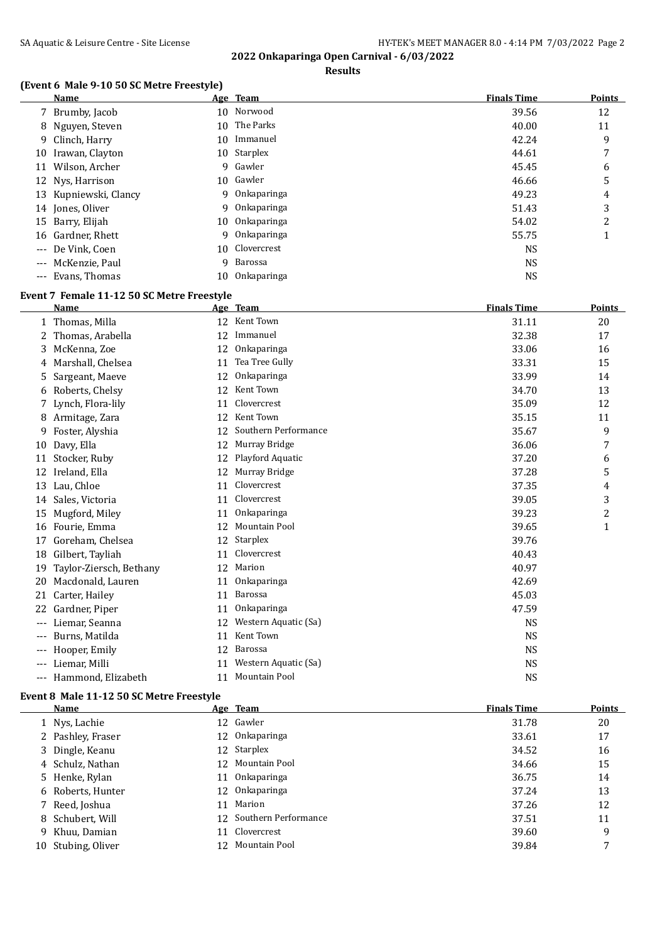## **Results**

## **(Event 6 Male 9-10 50 SC Metre Freestyle)**

|    | <b>Name</b>           |    | Age Team       | <b>Finals Time</b> | <b>Points</b>  |
|----|-----------------------|----|----------------|--------------------|----------------|
|    | 7 Brumby, Jacob       |    | 10 Norwood     | 39.56              | 12             |
|    | 8 Nguyen, Steven      |    | 10 The Parks   | 40.00              | 11             |
|    | 9 Clinch, Harry       | 10 | Immanuel       | 42.24              | 9              |
| 10 | Irawan, Clayton       |    | 10 Starplex    | 44.61              | 7              |
|    | 11 Wilson, Archer     |    | 9 Gawler       | 45.45              | 6              |
|    | 12 Nys, Harrison      |    | 10 Gawler      | 46.66              | 5              |
|    | 13 Kupniewski, Clancy | 9  | Onkaparinga    | 49.23              | 4              |
|    | 14 Jones, Oliver      |    | 9 Onkaparinga  | 51.43              | 3              |
|    | 15 Barry, Elijah      | 10 | Onkaparinga    | 54.02              | $\overline{2}$ |
|    | 16 Gardner, Rhett     | q  | Onkaparinga    | 55.75              |                |
|    | --- De Vink, Coen     |    | 10 Clovercrest | <b>NS</b>          |                |
|    | --- McKenzie, Paul    | 9. | Barossa        | <b>NS</b>          |                |
|    | --- Evans, Thomas     | 10 | Onkaparinga    | <b>NS</b>          |                |

#### **Event 7 Female 11-12 50 SC Metre Freestyle**

|       | <b>Name</b>             |    | Age Team             | <b>Finals Time</b> | <b>Points</b> |
|-------|-------------------------|----|----------------------|--------------------|---------------|
|       | 1 Thomas, Milla         | 12 | Kent Town            | 31.11              | 20            |
|       | Thomas, Arabella        | 12 | Immanuel             | 32.38              | 17            |
| 3.    | McKenna, Zoe            | 12 | Onkaparinga          | 33.06              | 16            |
|       | Marshall, Chelsea       | 11 | Tea Tree Gully       | 33.31              | 15            |
| 5     | Sargeant, Maeve         | 12 | Onkaparinga          | 33.99              | 14            |
| 6     | Roberts, Chelsy         | 12 | Kent Town            | 34.70              | 13            |
|       | Lynch, Flora-lily       | 11 | Clovercrest          | 35.09              | 12            |
|       | 8 Armitage, Zara        | 12 | Kent Town            | 35.15              | 11            |
| 9     | Foster, Alyshia         | 12 | Southern Performance | 35.67              | 9             |
| 10    | Davy, Ella              | 12 | Murray Bridge        | 36.06              | 7             |
| 11    | Stocker, Ruby           | 12 | Playford Aquatic     | 37.20              | 6             |
| 12    | Ireland, Ella           | 12 | Murray Bridge        | 37.28              | 5             |
| 13    | Lau, Chloe              | 11 | Clovercrest          | 37.35              | 4             |
| 14    | Sales, Victoria         | 11 | Clovercrest          | 39.05              | 3             |
| 15    | Mugford, Miley          | 11 | Onkaparinga          | 39.23              | 2             |
| 16    | Fourie, Emma            | 12 | Mountain Pool        | 39.65              | 1             |
| 17    | Goreham, Chelsea        | 12 | <b>Starplex</b>      | 39.76              |               |
| 18    | Gilbert, Tayliah        | 11 | Clovercrest          | 40.43              |               |
| 19    | Taylor-Ziersch, Bethany | 12 | Marion               | 40.97              |               |
| 20    | Macdonald, Lauren       | 11 | Onkaparinga          | 42.69              |               |
| 21    | Carter, Hailey          | 11 | Barossa              | 45.03              |               |
| 22    | Gardner, Piper          | 11 | Onkaparinga          | 47.59              |               |
| ---   | Liemar, Seanna          | 12 | Western Aquatic (Sa) | <b>NS</b>          |               |
| $---$ | Burns, Matilda          | 11 | Kent Town            | <b>NS</b>          |               |
| ---   | Hooper, Emily           | 12 | Barossa              | <b>NS</b>          |               |
| $---$ | Liemar, Milli           | 11 | Western Aquatic (Sa) | <b>NS</b>          |               |
| $---$ | Hammond, Elizabeth      | 11 | <b>Mountain Pool</b> | <b>NS</b>          |               |

#### **Event 8 Male 11-12 50 SC Metre Freestyle**

| Name               | Age Team                | <b>Finals Time</b> | Points |
|--------------------|-------------------------|--------------------|--------|
| 1 Nys, Lachie      | 12 Gawler               | 31.78              | 20     |
| 2 Pashley, Fraser  | 12 Onkaparinga          | 33.61              | 17     |
| 3 Dingle, Keanu    | 12 Starplex             | 34.52              | 16     |
| 4 Schulz, Nathan   | 12 Mountain Pool        | 34.66              | 15     |
| 5 Henke, Rylan     | 11 Onkaparinga          | 36.75              | 14     |
| 6 Roberts, Hunter  | 12 Onkaparinga          | 37.24              | 13     |
| 7 Reed, Joshua     | 11 Marion               | 37.26              | 12     |
| 8 Schubert, Will   | 12 Southern Performance | 37.51              | 11     |
| 9 Khuu, Damian     | 11 Clovercrest          | 39.60              | 9      |
| 10 Stubing, Oliver | 12 Mountain Pool        | 39.84              | 7      |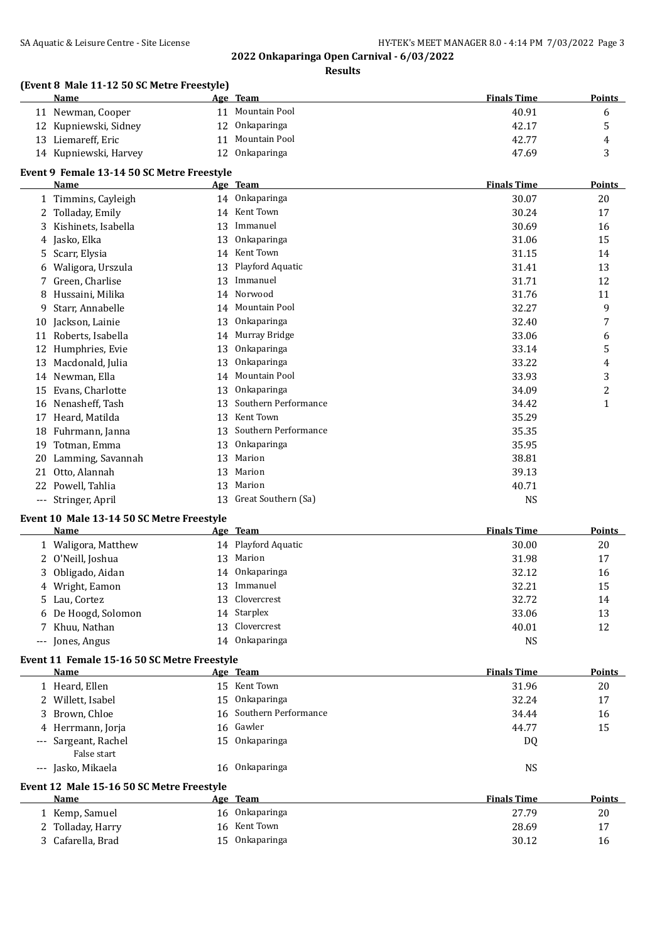**Results**

### **(Event 8 Male 11-12 50 SC Metre Freestyle)**

|       | (Event of Male 11-12 50 SC Metre Freestyle)<br>Name |    | Age Team             | <b>Finals Time</b> | <b>Points</b>  |
|-------|-----------------------------------------------------|----|----------------------|--------------------|----------------|
|       | 11 Newman, Cooper                                   | 11 | Mountain Pool        | 40.91              | 6              |
| 12    | Kupniewski, Sidney                                  | 12 | Onkaparinga          | 42.17              | 5              |
| 13    | Liemareff, Eric                                     | 11 | Mountain Pool        | 42.77              | 4              |
|       | 14 Kupniewski, Harvey                               | 12 | Onkaparinga          | 47.69              | 3              |
|       | Event 9 Female 13-14 50 SC Metre Freestyle          |    |                      |                    |                |
|       | <b>Name</b>                                         |    | Age Team             | <b>Finals Time</b> | <b>Points</b>  |
|       | 1 Timmins, Cayleigh                                 |    | 14 Onkaparinga       | 30.07              | 20             |
| 2     | Tolladay, Emily                                     |    | 14 Kent Town         | 30.24              | 17             |
| 3     | Kishinets, Isabella                                 | 13 | Immanuel             | 30.69              | 16             |
| 4     | Jasko, Elka                                         | 13 | Onkaparinga          | 31.06              | 15             |
| 5     | Scarr, Elysia                                       | 14 | Kent Town            | 31.15              | 14             |
| 6     | Waligora, Urszula                                   | 13 | Playford Aquatic     | 31.41              | 13             |
| 7     | Green, Charlise                                     | 13 | Immanuel             | 31.71              | 12             |
| 8     | Hussaini, Milika                                    | 14 | Norwood              | 31.76              | 11             |
| 9     | Starr, Annabelle                                    | 14 | Mountain Pool        | 32.27              | 9              |
| 10    | Jackson, Lainie                                     | 13 | Onkaparinga          | 32.40              | 7              |
| 11    | Roberts, Isabella                                   | 14 | Murray Bridge        | 33.06              | 6              |
| 12    | Humphries, Evie                                     | 13 | Onkaparinga          | 33.14              | 5              |
| 13    | Macdonald, Julia                                    | 13 | Onkaparinga          | 33.22              | 4              |
| 14    | Newman, Ella                                        | 14 | <b>Mountain Pool</b> | 33.93              | 3              |
| 15    | Evans, Charlotte                                    | 13 | Onkaparinga          | 34.09              | $\overline{c}$ |
| 16    | Nenasheff, Tash                                     | 13 | Southern Performance | 34.42              | $\mathbf{1}$   |
| 17    | Heard, Matilda                                      | 13 | Kent Town            | 35.29              |                |
| 18    | Fuhrmann, Janna                                     | 13 | Southern Performance | 35.35              |                |
| 19    | Totman, Emma                                        | 13 | Onkaparinga          | 35.95              |                |
| 20    | Lamming, Savannah                                   | 13 | Marion               | 38.81              |                |
| 21    | Otto, Alannah                                       | 13 | Marion               | 39.13              |                |
| 22    | Powell, Tahlia                                      | 13 | Marion               | 40.71              |                |
| $---$ | Stringer, April                                     | 13 | Great Southern (Sa)  | <b>NS</b>          |                |

#### **Event 10 Male 13-14 50 SC Metre Freestyle**

| Name                |    | Age Team            | <b>Finals Time</b> | <b>Points</b> |
|---------------------|----|---------------------|--------------------|---------------|
| 1 Waligora, Matthew |    | 14 Playford Aquatic | 30.00              | 20            |
| 2 O'Neill, Joshua   |    | 13 Marion           | 31.98              | 17            |
| 3 Obligado, Aidan   |    | 14 Onkaparinga      | 32.12              | 16            |
| 4 Wright, Eamon     | 13 | Immanuel            | 32.21              | 15            |
| 5 Lau, Cortez       |    | 13 Clovercrest      | 32.72              | 14            |
| 6 De Hoogd, Solomon |    | 14 Starplex         | 33.06              | 13            |
| 7 Khuu, Nathan      |    | 13 Clovercrest      | 40.01              | 12            |
| --- Jones, Angus    | 14 | Onkaparinga         | <b>NS</b>          |               |

#### **Event 11 Female 15-16 50 SC Metre Freestyle**

| Name                                      | Age Team                | <b>Finals Time</b> | <b>Points</b> |
|-------------------------------------------|-------------------------|--------------------|---------------|
| 1 Heard, Ellen                            | 15 Kent Town            | 31.96              | 20            |
| 2 Willett, Isabel                         | 15 Onkaparinga          | 32.24              | 17            |
| 3 Brown, Chloe                            | 16 Southern Performance | 34.44              | 16            |
| 4 Herrmann, Jorja                         | 16 Gawler               | 44.77              | 15            |
| --- Sargeant, Rachel                      | 15 Onkaparinga          | DQ                 |               |
| False start                               |                         |                    |               |
| --- Jasko, Mikaela                        | 16 Onkaparinga          | <b>NS</b>          |               |
| Event 12 Male 15-16 50 SC Metre Freestyle |                         |                    |               |
| Name                                      | Age Team                | <b>Finals Time</b> | Points        |
| 1 Kemp, Samuel                            | 16 Onkaparinga          | 27.79              | 20            |
| 2 Tolladay, Harry                         | 16 Kent Town            | 28.69              | 17            |
| 3 Cafarella, Brad                         | 15 Onkaparinga          | 30.12              | 16            |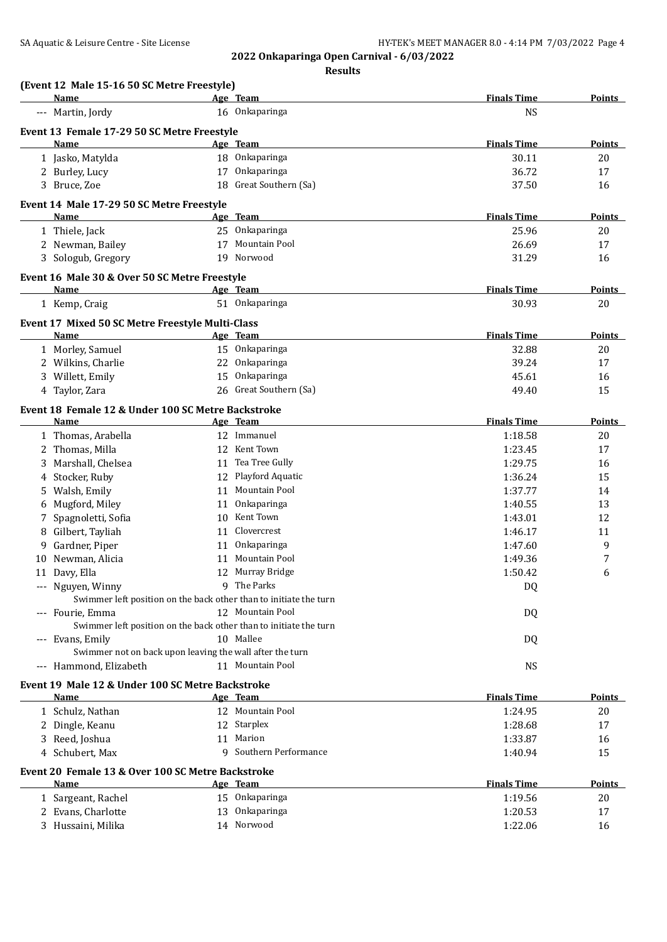|    | <b>Name</b>                                                                           |    | Age Team                     | <b>Finals Time</b>          | <b>Points</b>       |
|----|---------------------------------------------------------------------------------------|----|------------------------------|-----------------------------|---------------------|
|    | --- Martin, Jordy                                                                     |    | 16 Onkaparinga               | <b>NS</b>                   |                     |
|    | Event 13 Female 17-29 50 SC Metre Freestyle                                           |    |                              |                             |                     |
|    | Name                                                                                  |    | Age Team                     | <b>Finals Time</b>          | Points              |
|    | 1 Jasko, Matylda                                                                      |    | 18 Onkaparinga               | 30.11                       | 20                  |
|    | 2 Burley, Lucy                                                                        |    | 17 Onkaparinga               | 36.72                       | 17                  |
|    | 3 Bruce, Zoe                                                                          |    | 18 Great Southern (Sa)       | 37.50                       | 16                  |
|    | Event 14 Male 17-29 50 SC Metre Freestyle                                             |    |                              |                             |                     |
|    | Name                                                                                  |    | Age Team                     | <b>Finals Time</b>          | <b>Points</b>       |
|    | 1 Thiele, Jack                                                                        |    | 25 Onkaparinga               | 25.96                       | 20                  |
|    | 2 Newman, Bailey                                                                      |    | 17 Mountain Pool             | 26.69                       | 17                  |
|    | 3 Sologub, Gregory                                                                    |    | 19 Norwood                   | 31.29                       | 16                  |
|    | Event 16 Male 30 & Over 50 SC Metre Freestyle                                         |    |                              |                             |                     |
|    | <b>Name</b>                                                                           |    | Age Team                     | <b>Finals Time</b>          | <b>Points</b>       |
|    | 1 Kemp, Craig                                                                         |    | 51 Onkaparinga               | 30.93                       | 20                  |
|    |                                                                                       |    |                              |                             |                     |
|    | Event 17 Mixed 50 SC Metre Freestyle Multi-Class                                      |    |                              |                             |                     |
|    | Name                                                                                  |    | Age Team<br>15 Onkaparinga   | <b>Finals Time</b><br>32.88 | <b>Points</b><br>20 |
|    | 1 Morley, Samuel<br>2 Wilkins, Charlie                                                |    | 22 Onkaparinga               | 39.24                       | 17                  |
|    |                                                                                       |    | 15 Onkaparinga               |                             |                     |
|    | 3 Willett, Emily<br>4 Taylor, Zara                                                    |    | 26 Great Southern (Sa)       | 45.61<br>49.40              | 16<br>15            |
|    |                                                                                       |    |                              |                             |                     |
|    | Event 18 Female 12 & Under 100 SC Metre Backstroke                                    |    |                              |                             |                     |
|    | <b>Name</b>                                                                           |    | Age Team                     | <b>Finals Time</b>          | <b>Points</b>       |
|    | 1 Thomas, Arabella                                                                    |    | 12 Immanuel                  | 1:18.58                     | 20                  |
| 2  | Thomas, Milla                                                                         |    | 12 Kent Town                 | 1:23.45                     | 17                  |
| 3  | Marshall, Chelsea                                                                     |    | 11 Tea Tree Gully            | 1:29.75                     | 16                  |
| 4  | Stocker, Ruby                                                                         |    | 12 Playford Aquatic          | 1:36.24                     | 15                  |
| 5  | Walsh, Emily                                                                          |    | 11 Mountain Pool             | 1:37.77                     | 14                  |
| 6  | Mugford, Miley                                                                        |    | 11 Onkaparinga               | 1:40.55                     | 13                  |
| 7  | Spagnoletti, Sofia                                                                    |    | 10 Kent Town                 | 1:43.01                     | 12                  |
| 8  | Gilbert, Tayliah                                                                      | 11 | Clovercrest                  | 1:46.17                     | 11                  |
| 9  | Gardner, Piper                                                                        | 11 | Onkaparinga                  | 1:47.60                     | 9                   |
| 10 | Newman, Alicia                                                                        | 11 | <b>Mountain Pool</b>         | 1:49.36                     | 7                   |
|    | 11 Davy, Ella                                                                         |    | 12 Murray Bridge             | 1:50.42                     | 6                   |
|    | --- Nguyen, Winny                                                                     |    | 9 The Parks                  | DQ                          |                     |
|    | Swimmer left position on the back other than to initiate the turn                     |    | 12 Mountain Pool             |                             |                     |
|    | --- Fourie, Emma<br>Swimmer left position on the back other than to initiate the turn |    |                              | DQ                          |                     |
|    | --- Evans, Emily                                                                      |    | 10 Mallee                    | DQ                          |                     |
|    | Swimmer not on back upon leaving the wall after the turn                              |    |                              |                             |                     |
|    | --- Hammond, Elizabeth                                                                |    | 11 Mountain Pool             | <b>NS</b>                   |                     |
|    |                                                                                       |    |                              |                             |                     |
|    | Event 19 Male 12 & Under 100 SC Metre Backstroke<br>Name                              |    | Age Team                     | <b>Finals Time</b>          | <b>Points</b>       |
|    | 1 Schulz, Nathan                                                                      |    | 12 Mountain Pool             | 1:24.95                     | 20                  |
|    | 2 Dingle, Keanu                                                                       |    | 12 Starplex                  | 1:28.68                     | 17                  |
|    | 3 Reed, Joshua                                                                        |    | 11 Marion                    | 1:33.87                     | 16                  |
|    | 4 Schubert, Max                                                                       |    | 9 Southern Performance       | 1:40.94                     | 15                  |
|    |                                                                                       |    |                              |                             |                     |
|    | Event 20 Female 13 & Over 100 SC Metre Backstroke                                     |    |                              |                             |                     |
|    | Name                                                                                  |    | Age Team                     | <b>Finals Time</b>          | Points              |
|    | 1 Sargeant, Rachel                                                                    |    | 15 Onkaparinga               | 1:19.56                     | 20                  |
|    | 2 Evans, Charlotte<br>3 Hussaini, Milika                                              |    | 13 Onkaparinga<br>14 Norwood | 1:20.53<br>1:22.06          | 17                  |
|    |                                                                                       |    |                              |                             | 16                  |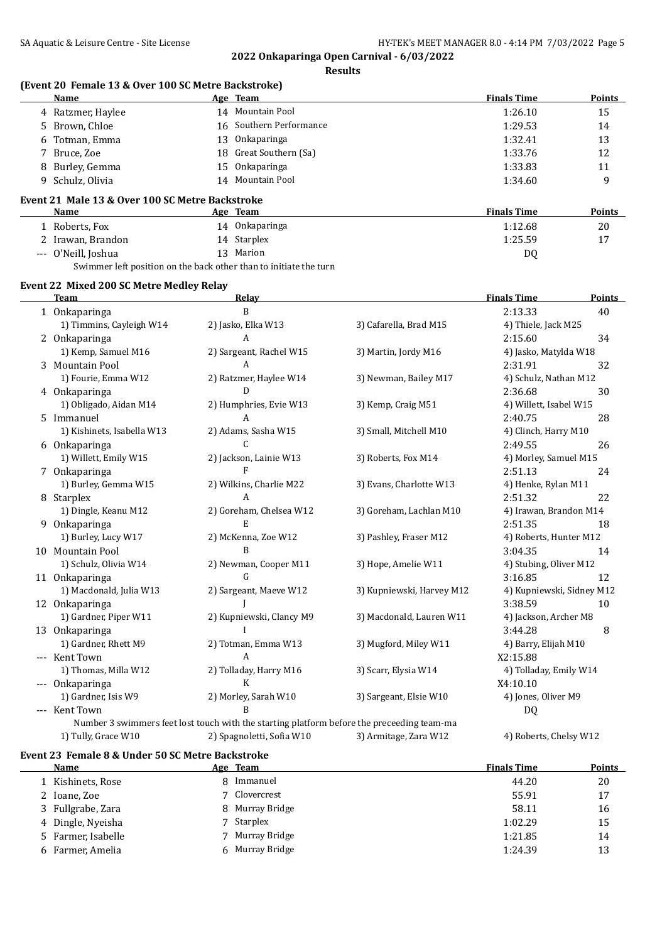**2022 Onkaparinga Open Carnival - 6/03/2022 Results**

|    | (Event 20 Female 13 & Over 100 SC Metre Backstroke)               |    |                         |                         |                        |               |
|----|-------------------------------------------------------------------|----|-------------------------|-------------------------|------------------------|---------------|
|    | <b>Name</b>                                                       |    | Age Team                |                         | <b>Finals Time</b>     | <b>Points</b> |
|    | 4 Ratzmer, Haylee                                                 |    | 14 Mountain Pool        |                         | 1:26.10                | 15            |
| 5. | Brown, Chloe                                                      |    | 16 Southern Performance |                         | 1:29.53                | 14            |
| 6  | Totman, Emma                                                      | 13 | Onkaparinga             |                         | 1:32.41                | 13            |
| 7  | Bruce, Zoe                                                        | 18 | Great Southern (Sa)     |                         | 1:33.76                | 12            |
| 8  | Burley, Gemma                                                     | 15 | Onkaparinga             |                         | 1:33.83                | 11            |
| 9  | Schulz, Olivia                                                    |    | 14 Mountain Pool        |                         | 1:34.60                | 9             |
|    | Event 21 Male 13 & Over 100 SC Metre Backstroke                   |    |                         |                         |                        |               |
|    | <b>Name</b>                                                       |    | Age Team                |                         | <b>Finals Time</b>     | <b>Points</b> |
|    | 1 Roberts, Fox                                                    |    | 14 Onkaparinga          |                         | 1:12.68                | 20            |
|    | 2 Irawan, Brandon                                                 |    | 14 Starplex             |                         | 1:25.59                | 17            |
|    | --- O'Neill, Joshua                                               |    | 13 Marion               |                         | DQ                     |               |
|    | Swimmer left position on the back other than to initiate the turn |    |                         |                         |                        |               |
|    | Event 22 Mixed 200 SC Metre Medley Relay                          |    |                         |                         |                        |               |
|    | Team                                                              |    | Relay                   |                         | <b>Finals Time</b>     | Points        |
|    | 1 Onkaparinga                                                     |    | B                       |                         | 2:13.33                | 40            |
|    | 1) Timmins, Cayleigh W14                                          |    | 2) Jasko, Elka W13      | 3) Cafarella, Brad M15  | 4) Thiele, Jack M25    |               |
|    | 2 Onkaparinga                                                     |    | A                       |                         | 2:15.60                | 34            |
|    | 1) Kemp, Samuel M16                                               |    | 2) Sargeant, Rachel W15 | 3) Martin, Jordy M16    | 4) Jasko, Matylda W18  |               |
|    | 3 Mountain Pool                                                   |    | A                       |                         | 2:31.91                | 32            |
|    | 1) Fourie, Emma W12                                               |    | 2) Ratzmer, Haylee W14  | 3) Newman, Bailey M17   | 4) Schulz, Nathan M12  |               |
|    | 4 Onkaparinga                                                     |    | D                       |                         | 2:36.68                | 30            |
|    | 1) Obligado, Aidan M14                                            |    | 2) Humphries, Evie W13  | 3) Kemp, Craig M51      | 4) Willett, Isabel W15 |               |
|    | 5 Immanuel                                                        |    | A                       |                         | 2:40.75                | 28            |
|    | 1) Kishinets, Isabella W13                                        |    | 2) Adams, Sasha W15     | 3) Small, Mitchell M10  | 4) Clinch, Harry M10   |               |
|    | 6 Onkaparinga                                                     |    | C                       |                         | 2:49.55                | 26            |
|    | 1) Willett, Emily W15                                             |    | 2) Jackson, Lainie W13  | 3) Roberts, Fox M14     | 4) Morley, Samuel M15  |               |
|    | 7 Onkaparinga                                                     |    | F                       |                         | 2:51.13                | 24            |
|    | 1) Burley, Gemma W15                                              |    | 2) Wilkins, Charlie M22 | 3) Evans, Charlotte W13 | 4) Henke, Rylan M11    |               |
|    | 8 Starplex                                                        |    | A                       |                         | 2:51.32                | 22            |
|    | 1) Dingle, Keanu M12                                              |    | 2) Goreham, Chelsea W12 | 3) Goreham, Lachlan M10 | 4) Irawan, Brandon M14 |               |
|    | 9 Onkaparinga                                                     |    | E                       |                         | 2:51.35                | 18            |
|    | 1) Burley, Lucy W17                                               |    | 2) McKenna, Zoe W12     | 3) Pashley, Fraser M12  | 4) Roberts, Hunter M12 |               |
|    | 10 Mountain Pool                                                  |    | B                       |                         | 3:04.35                | 14            |

Number 3 swimmers feet lost touch with the starting platform before the preceeding team-ma 1) Tully, Grace W10 2) Spagnoletti, Sofia W10 3) Armitage, Zara W12 4) Roberts, Chelsy W12

-- Kent Town A X2:15.88

--- Onkaparinga K X4:10.10

-- Kent Town B DQ

#### **Event 23 Female 8 & Under 50 SC Metre Backstroke**

| Name               | Age Team        | <b>Finals Time</b> | Points |
|--------------------|-----------------|--------------------|--------|
| Kishinets, Rose    | 8 Immanuel      | 44.20              | 20     |
| 2 Ioane, Zoe       | 7 Clovercrest   | 55.91              | 17     |
| 3 Fullgrabe, Zara  | 8 Murray Bridge | 58.11              | 16     |
| 4 Dingle, Nyeisha  | 7 Starplex      | 1:02.29            | 15     |
| 5 Farmer, Isabelle | 7 Murray Bridge | 1:21.85            | 14     |
| 6 Farmer, Amelia   | 6 Murray Bridge | 1:24.39            | 13     |

1) Schulz, Olivia W14 2) Newman, Cooper M11 3) Hope, Amelie W11 4) Stubing, Oliver M12 11 Onkaparinga G 3:16.85 12 1) Macdonald, Julia W13 2) Sargeant, Maeve W12 3) Kupniewski, Harvey M12 4) Kupniewski, Sidney M12 12 Onkaparinga 10 J J 3:38.59 10 1) Gardner, Piper W11 2) Kupniewski, Clancy M9 3) Macdonald, Lauren W11 4) Jackson, Archer M8 13 Onkaparinga I 3:44.28 8 1) Gardner, Rhett M9 2) Totman, Emma W13 3) Mugford, Miley W11 4) Barry, Elijah M10

1) Thomas, Milla W12 2) Tolladay, Harry M16 3) Scarr, Elysia W14 4) Tolladay, Emily W14

1) Gardner, Isis W9 2) Morley, Sarah W10 3) Sargeant, Elsie W10 4) Jones, Oliver M9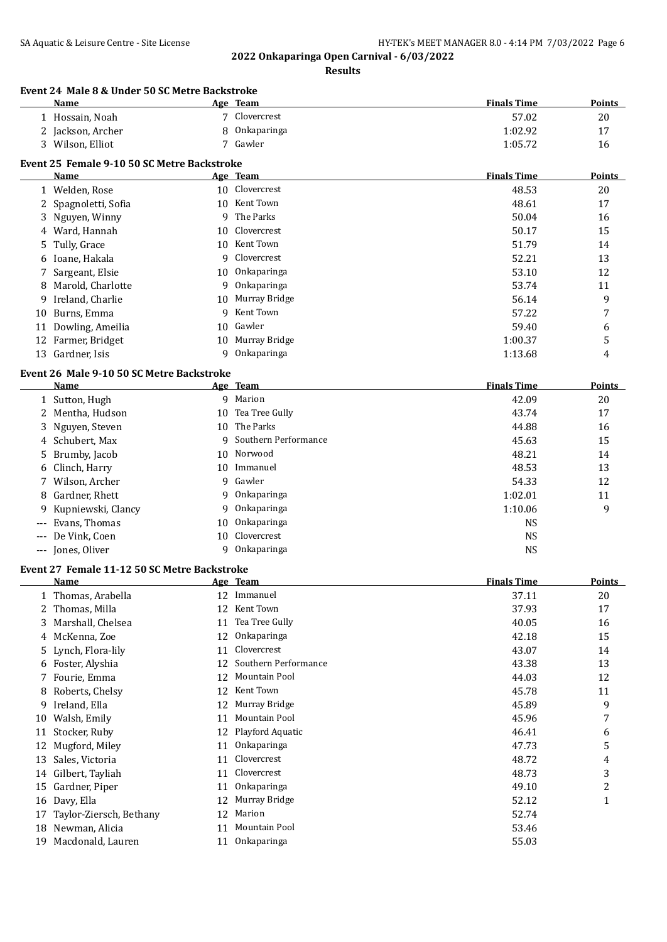|    |                                                           |         | 2022 Onkaparinga Open Carnival - 6/03/2022<br><b>Results</b> |                    |                |
|----|-----------------------------------------------------------|---------|--------------------------------------------------------------|--------------------|----------------|
|    | <b>Event 24 Male 8 &amp; Under 50 SC Metre Backstroke</b> |         |                                                              |                    |                |
|    | Name                                                      |         | Age Team                                                     | <b>Finals Time</b> | <b>Points</b>  |
|    | 1 Hossain, Noah                                           |         | 7 Clovercrest                                                | 57.02              | 20             |
|    | 2 Jackson, Archer                                         | 8       | Onkaparinga                                                  | 1:02.92            | 17             |
|    | 3 Wilson, Elliot                                          |         | 7 Gawler                                                     | 1:05.72            | 16             |
|    | Event 25 Female 9-10 50 SC Metre Backstroke               |         |                                                              |                    |                |
|    | Name                                                      |         | Age Team                                                     | <b>Finals Time</b> | <b>Points</b>  |
|    | 1 Welden, Rose                                            | 10      | Clovercrest                                                  | 48.53              | 20             |
| 2  | Spagnoletti, Sofia                                        | 10      | Kent Town<br>The Parks                                       | 48.61              | 17             |
| 3  | Nguyen, Winny                                             | 9       |                                                              | 50.04              | 16             |
|    | 4 Ward, Hannah                                            | 10      | Clovercrest                                                  | 50.17              | 15             |
| 5  | Tully, Grace                                              | 10      | Kent Town<br>Clovercrest                                     | 51.79              | 14             |
| 6  | Ioane, Hakala                                             | 9       |                                                              | 52.21              | 13             |
|    | Sargeant, Elsie<br>Marold, Charlotte                      | 10      | Onkaparinga                                                  | 53.10              | 12             |
| 8  |                                                           | 9       | Onkaparinga<br>Murray Bridge                                 | 53.74              | 11             |
| 9  | Ireland, Charlie                                          | 10<br>9 | Kent Town                                                    | 56.14              | 9              |
| 10 | Burns, Emma                                               |         | Gawler                                                       | 57.22              | 7              |
|    | 11 Dowling, Ameilia                                       | 10      | Murray Bridge                                                | 59.40              | 6              |
|    | 12 Farmer, Bridget<br>13 Gardner, Isis                    | 10<br>9 | Onkaparinga                                                  | 1:00.37            | 5              |
|    |                                                           |         |                                                              | 1:13.68            | 4              |
|    | Event 26 Male 9-10 50 SC Metre Backstroke<br>Name         |         | Age Team                                                     | <b>Finals Time</b> | <b>Points</b>  |
|    | 1 Sutton, Hugh                                            |         | 9 Marion                                                     | 42.09              | 20             |
|    | 2 Mentha, Hudson                                          | 10      | Tea Tree Gully                                               | 43.74              | 17             |
| 3  | Nguyen, Steven                                            | 10      | The Parks                                                    | 44.88              | 16             |
| 4  | Schubert, Max                                             | 9       | Southern Performance                                         | 45.63              | 15             |
| 5  | Brumby, Jacob                                             | 10      | Norwood                                                      | 48.21              | 14             |
| 6  | Clinch, Harry                                             | 10      | Immanuel                                                     | 48.53              | 13             |
| 7  | Wilson, Archer                                            | 9       | Gawler                                                       | 54.33              | 12             |
| 8  | Gardner, Rhett                                            | 9       | Onkaparinga                                                  | 1:02.01            | 11             |
| 9  | Kupniewski, Clancy                                        | 9       | Onkaparinga                                                  | 1:10.06            | 9              |
|    | Evans, Thomas                                             | 10      | Onkaparinga                                                  | <b>NS</b>          |                |
|    | De Vink, Coen                                             | 10      | Clovercrest                                                  | <b>NS</b>          |                |
|    | Jones, Oliver                                             | 9       | Onkaparinga                                                  | <b>NS</b>          |                |
|    | <b>Event 27 Female 11-12 50 SC Metre Backstroke</b>       |         |                                                              |                    |                |
|    | <b>Name</b>                                               |         | <u>Age Team</u>                                              | <b>Finals Time</b> | <u>Points</u>  |
|    | 1 Thomas, Arabella                                        |         | 12 Immanuel                                                  | 37.11              | 20             |
|    | 2 Thomas, Milla                                           |         | 12 Kent Town                                                 | 37.93              | 17             |
| 3  | Marshall, Chelsea                                         | 11      | Tea Tree Gully                                               | 40.05              | 16             |
| 4  | McKenna, Zoe                                              | 12      | Onkaparinga                                                  | 42.18              | 15             |
| 5  | Lynch, Flora-lily                                         | 11      | Clovercrest                                                  | 43.07              | 14             |
| 6  | Foster, Alyshia                                           | 12      | Southern Performance                                         | 43.38              | 13             |
| 7  | Fourie, Emma                                              | 12      | Mountain Pool                                                | 44.03              | 12             |
| 8  | Roberts, Chelsy                                           | 12      | Kent Town                                                    | 45.78              | 11             |
|    | 9 Ireland, Ella                                           | 12      | Murray Bridge                                                | 45.89              | 9              |
| 10 | Walsh, Emily                                              | 11      | Mountain Pool                                                | 45.96              | 7              |
| 11 | Stocker, Ruby                                             | 12      | Playford Aquatic                                             | 46.41              | 6              |
| 12 | Mugford, Miley                                            | 11      | Onkaparinga                                                  | 47.73              | 5              |
| 13 | Sales, Victoria                                           | 11      | Clovercrest                                                  | 48.72              | 4              |
| 14 | Gilbert, Tayliah                                          | 11      | Clovercrest                                                  | 48.73              | 3              |
| 15 | Gardner, Piper                                            | 11      | Onkaparinga                                                  | 49.10              | $\overline{c}$ |
| 16 | Davy, Ella                                                | 12      | Murray Bridge                                                | 52.12              | $\mathbf{1}$   |
| 17 | Taylor-Ziersch, Bethany                                   | 12      | Marion                                                       | 52.74              |                |
|    | 18 Newman, Alicia                                         | 11      | Mountain Pool                                                | 53.46              |                |

 Newman, Alicia 11 Mountain Pool 53.46 Macdonald, Lauren 11 Onkaparinga 55.03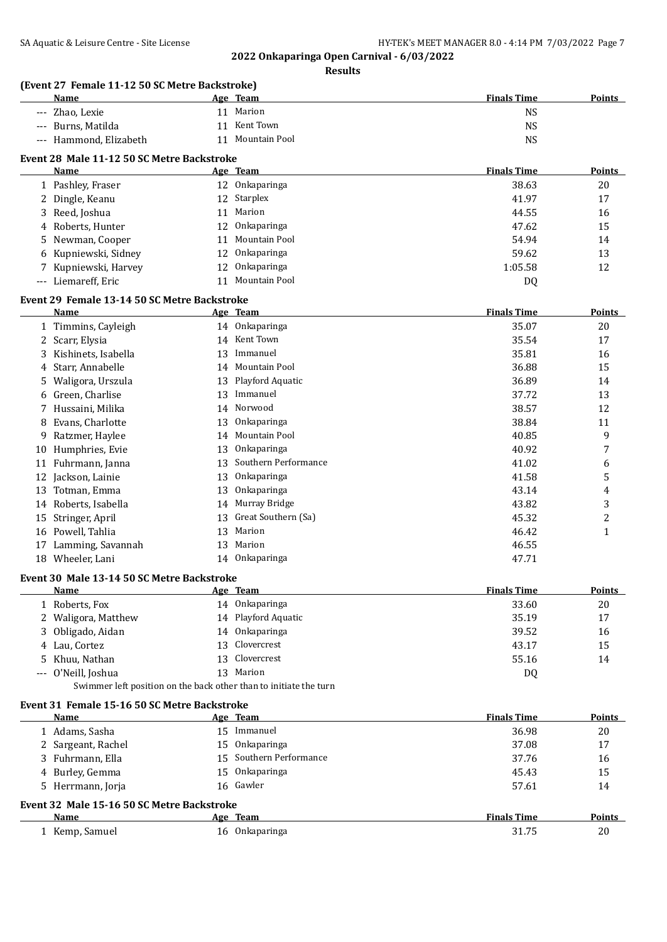|    | Name                                                              |    | Age Team                       | <b>Finals Time</b> | <b>Points</b>  |
|----|-------------------------------------------------------------------|----|--------------------------------|--------------------|----------------|
|    | --- Zhao, Lexie                                                   |    | 11 Marion                      | <b>NS</b>          |                |
|    | --- Burns, Matilda                                                | 11 | Kent Town                      | <b>NS</b>          |                |
|    | --- Hammond, Elizabeth                                            |    | 11 Mountain Pool               | <b>NS</b>          |                |
|    |                                                                   |    |                                |                    |                |
|    | Event 28 Male 11-12 50 SC Metre Backstroke                        |    |                                |                    |                |
|    | Name                                                              |    | Age Team                       | <b>Finals Time</b> | Points         |
|    | 1 Pashley, Fraser                                                 |    | 12 Onkaparinga                 | 38.63              | 20             |
|    | 2 Dingle, Keanu                                                   |    | 12 Starplex                    | 41.97              | 17             |
| 3  | Reed, Joshua                                                      | 11 | Marion                         | 44.55              | 16             |
| 4  | Roberts, Hunter                                                   |    | 12 Onkaparinga                 | 47.62              | 15             |
| 5  | Newman, Cooper                                                    | 11 | Mountain Pool                  | 54.94              | 14             |
| 6  | Kupniewski, Sidney                                                | 12 | Onkaparinga                    | 59.62              | 13             |
|    | 7 Kupniewski, Harvey                                              | 12 | Onkaparinga                    | 1:05.58            | 12             |
|    | --- Liemareff, Eric                                               | 11 | Mountain Pool                  | DQ                 |                |
|    |                                                                   |    |                                |                    |                |
|    | Event 29 Female 13-14 50 SC Metre Backstroke<br><b>Name</b>       |    | Age Team                       | <b>Finals Time</b> | <b>Points</b>  |
|    |                                                                   |    |                                |                    |                |
|    | 1 Timmins, Cayleigh                                               |    | 14 Onkaparinga<br>14 Kent Town | 35.07              | 20             |
|    | 2 Scarr, Elysia                                                   |    |                                | 35.54              | 17             |
| 3  | Kishinets, Isabella                                               | 13 | Immanuel                       | 35.81              | 16             |
|    | Starr, Annabelle                                                  | 14 | Mountain Pool                  | 36.88              | 15             |
| 5  | Waligora, Urszula                                                 | 13 | Playford Aquatic               | 36.89              | 14             |
| 6  | Green, Charlise                                                   | 13 | Immanuel                       | 37.72              | 13             |
|    | Hussaini, Milika                                                  | 14 | Norwood                        | 38.57              | 12             |
| 8  | Evans, Charlotte                                                  | 13 | Onkaparinga                    | 38.84              | 11             |
| 9  | Ratzmer, Haylee                                                   | 14 | Mountain Pool                  | 40.85              | 9              |
|    | 10 Humphries, Evie                                                | 13 | Onkaparinga                    | 40.92              | 7              |
|    | 11 Fuhrmann, Janna                                                | 13 | Southern Performance           | 41.02              | 6              |
|    | 12 Jackson, Lainie                                                | 13 | Onkaparinga                    | 41.58              | 5              |
| 13 | Totman, Emma                                                      | 13 | Onkaparinga                    | 43.14              | 4              |
|    | 14 Roberts, Isabella                                              |    | 14 Murray Bridge               | 43.82              | 3              |
| 15 | Stringer, April                                                   | 13 | Great Southern (Sa)            | 45.32              | $\overline{c}$ |
|    | 16 Powell, Tahlia                                                 |    | 13 Marion                      | 46.42              | $\mathbf{1}$   |
|    | 17 Lamming, Savannah                                              | 13 | Marion                         | 46.55              |                |
|    | 18 Wheeler, Lani                                                  |    | 14 Onkaparinga                 | 47.71              |                |
|    |                                                                   |    |                                |                    |                |
|    | Event 30 Male 13-14 50 SC Metre Backstroke                        |    |                                |                    |                |
|    | Name                                                              |    | Age Team                       | <b>Finals Time</b> | <b>Points</b>  |
|    | 1 Roberts, Fox                                                    |    | 14 Onkaparinga                 | 33.60              | 20             |
|    | 2 Waligora, Matthew                                               |    | 14 Playford Aquatic            | 35.19              | 17             |
|    | 3 Obligado, Aidan                                                 |    | 14 Onkaparinga                 | 39.52              | 16             |
|    | 4 Lau, Cortez                                                     |    | 13 Clovercrest                 | 43.17              | 15             |
| 5  | Khuu, Nathan                                                      | 13 | Clovercrest                    | 55.16              | 14             |
|    | O'Neill, Joshua                                                   |    | 13 Marion                      | DQ                 |                |
|    | Swimmer left position on the back other than to initiate the turn |    |                                |                    |                |
|    |                                                                   |    |                                |                    |                |
|    | Event 31 Female 15-16 50 SC Metre Backstroke                      |    |                                |                    |                |
|    | Name                                                              |    | Age Team                       | <b>Finals Time</b> | <b>Points</b>  |
|    | 1 Adams, Sasha                                                    |    | 15 Immanuel                    | 36.98              | 20             |
|    | 2 Sargeant, Rachel                                                |    | 15 Onkaparinga                 | 37.08              | 17             |
| 3  | Fuhrmann, Ella                                                    | 15 | Southern Performance           | 37.76              | 16             |
|    | 4 Burley, Gemma                                                   | 15 | Onkaparinga                    | 45.43              | 15             |
| 5. | Herrmann, Jorja                                                   |    | 16 Gawler                      | 57.61              | 14             |
|    | Event 32 Male 15-16 50 SC Metre Backstroke                        |    |                                |                    |                |
|    |                                                                   |    |                                |                    |                |
|    | <b>Name</b>                                                       |    | Age Team                       | <b>Finals Time</b> | <b>Points</b>  |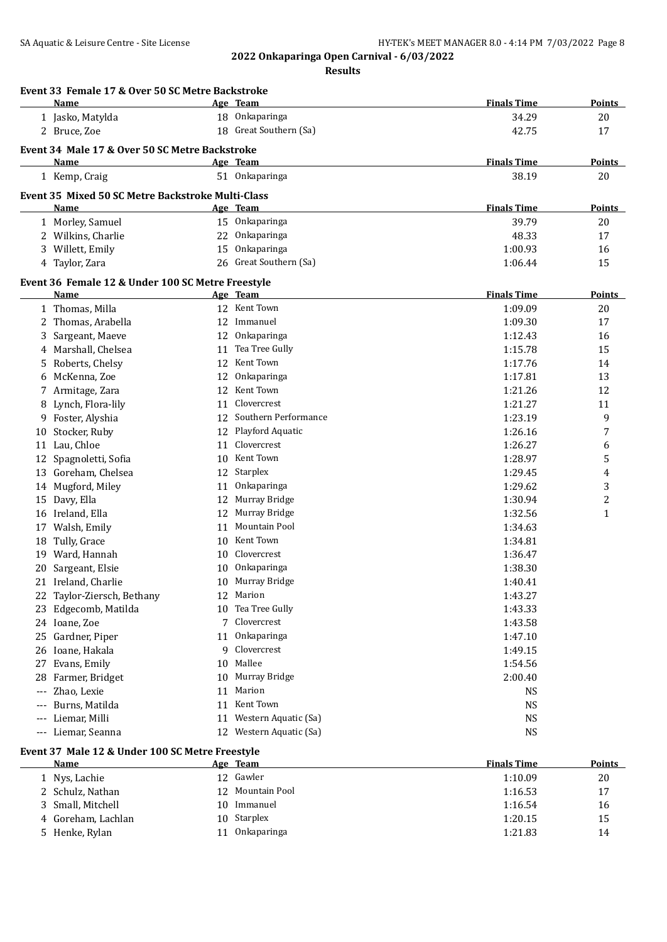| Event 33 Female 17 & Over 50 SC Metre Backstroke<br>Name |    | <u>Age Team</u>         | <b>Finals Time</b> | Points         |
|----------------------------------------------------------|----|-------------------------|--------------------|----------------|
| 1 Jasko, Matylda                                         |    | 18 Onkaparinga          | 34.29              | 20             |
| 2 Bruce, Zoe                                             |    | 18 Great Southern (Sa)  | 42.75              | 17             |
| Event 34 Male 17 & Over 50 SC Metre Backstroke           |    |                         |                    |                |
| Name                                                     |    | Age Team                | <b>Finals Time</b> | Points         |
| 1 Kemp, Craig                                            |    | 51 Onkaparinga          | 38.19              | 20             |
|                                                          |    |                         |                    |                |
| <b>Event 35 Mixed 50 SC Metre Backstroke Multi-Class</b> |    |                         |                    |                |
| Name                                                     |    | Age Team                | <b>Finals Time</b> | <b>Points</b>  |
| 1 Morley, Samuel                                         |    | 15 Onkaparinga          | 39.79              | 20             |
| 2 Wilkins, Charlie                                       | 22 | Onkaparinga             | 48.33              | 17             |
| 3 Willett, Emily                                         | 15 | Onkaparinga             | 1:00.93            | 16             |
| 4 Taylor, Zara                                           |    | 26 Great Southern (Sa)  | 1:06.44            | 15             |
| Event 36 Female 12 & Under 100 SC Metre Freestyle        |    |                         |                    |                |
| Name                                                     |    | <u>Age Team</u>         | <b>Finals Time</b> | Points         |
| 1 Thomas, Milla                                          |    | 12 Kent Town            | 1:09.09            | 20             |
| 2 Thomas, Arabella                                       |    | 12 Immanuel             | 1:09.30            | 17             |
| Sargeant, Maeve<br>3                                     | 12 | Onkaparinga             | 1:12.43            | 16             |
| Marshall, Chelsea<br>4                                   | 11 | Tea Tree Gully          | 1:15.78            | 15             |
| Roberts, Chelsy<br>5                                     | 12 | Kent Town               | 1:17.76            | 14             |
| McKenna, Zoe<br>6                                        | 12 | Onkaparinga             | 1:17.81            | 13             |
| 7 Armitage, Zara                                         | 12 | Kent Town               | 1:21.26            | 12             |
| 8 Lynch, Flora-lily                                      | 11 | Clovercrest             | 1:21.27            | 11             |
| 9 Foster, Alyshia                                        | 12 | Southern Performance    | 1:23.19            | 9              |
| Stocker, Ruby<br>10                                      | 12 | Playford Aquatic        | 1:26.16            | $\overline{7}$ |
| 11 Lau, Chloe                                            | 11 | Clovercrest             | 1:26.27            | 6              |
| Spagnoletti, Sofia<br>12                                 | 10 | Kent Town               | 1:28.97            | 5              |
| 13 Goreham, Chelsea                                      | 12 | Starplex                | 1:29.45            | 4              |
| 14 Mugford, Miley                                        | 11 | Onkaparinga             | 1:29.62            | 3              |
| 15 Davy, Ella                                            | 12 | Murray Bridge           | 1:30.94            | $\overline{c}$ |
| 16 Ireland, Ella                                         | 12 | Murray Bridge           | 1:32.56            | $\mathbf{1}$   |
| 17 Walsh, Emily                                          | 11 | Mountain Pool           | 1:34.63            |                |
| 18 Tully, Grace                                          | 10 | Kent Town               | 1:34.81            |                |
| 19 Ward, Hannah                                          | 10 | Clovercrest             | 1:36.47            |                |
| 20 Sargeant, Elsie                                       | 10 | Onkaparinga             | 1:38.30            |                |
| 21 Ireland, Charlie                                      |    | 10 Murray Bridge        | 1:40.41            |                |
| 22 Taylor-Ziersch, Bethany                               |    | 12 Marion               | 1:43.27            |                |
| Edgecomb, Matilda<br>23                                  |    | 10 Tea Tree Gully       | 1:43.33            |                |
| 24 Ioane, Zoe                                            |    | 7 Clovercrest           | 1:43.58            |                |
| Gardner, Piper<br>25                                     |    | 11 Onkaparinga          | 1:47.10            |                |
| 26 Ioane, Hakala                                         | 9  | Clovercrest             | 1:49.15            |                |
| Evans, Emily<br>27                                       | 10 | Mallee                  | 1:54.56            |                |
| Farmer, Bridget<br>28.                                   | 10 | Murray Bridge           | 2:00.40            |                |
| Zhao, Lexie<br>---                                       | 11 | Marion                  | <b>NS</b>          |                |
| Burns, Matilda<br>---                                    | 11 | Kent Town               | <b>NS</b>          |                |
| Liemar, Milli<br>---                                     | 11 | Western Aquatic (Sa)    | <b>NS</b>          |                |
| --- Liemar, Seanna                                       |    | 12 Western Aquatic (Sa) | <b>NS</b>          |                |
| Event 37 Male 12 & Under 100 SC Metre Freestyle          |    |                         |                    |                |
| <u>Name</u>                                              |    | Age Team                | <b>Finals Time</b> | <b>Points</b>  |
|                                                          |    |                         |                    |                |

| Name               |                 | Age Team      | <b>Finals</b> Time | Points |
|--------------------|-----------------|---------------|--------------------|--------|
| 1 Nys, Lachie      |                 | 12 Gawler     | 1:10.09            | 20     |
| 2 Schulz, Nathan   | 12 <sup>1</sup> | Mountain Pool | 1:16.53            | 17     |
| 3 Small, Mitchell  | 10.             | Immanuel      | 1:16.54            | 16     |
| 4 Goreham, Lachlan |                 | 10 Starplex   | 1:20.15            | 15     |
| 5 Henke, Rylan     |                 | Onkaparinga   | 1:21.83            | 14     |
|                    |                 |               |                    |        |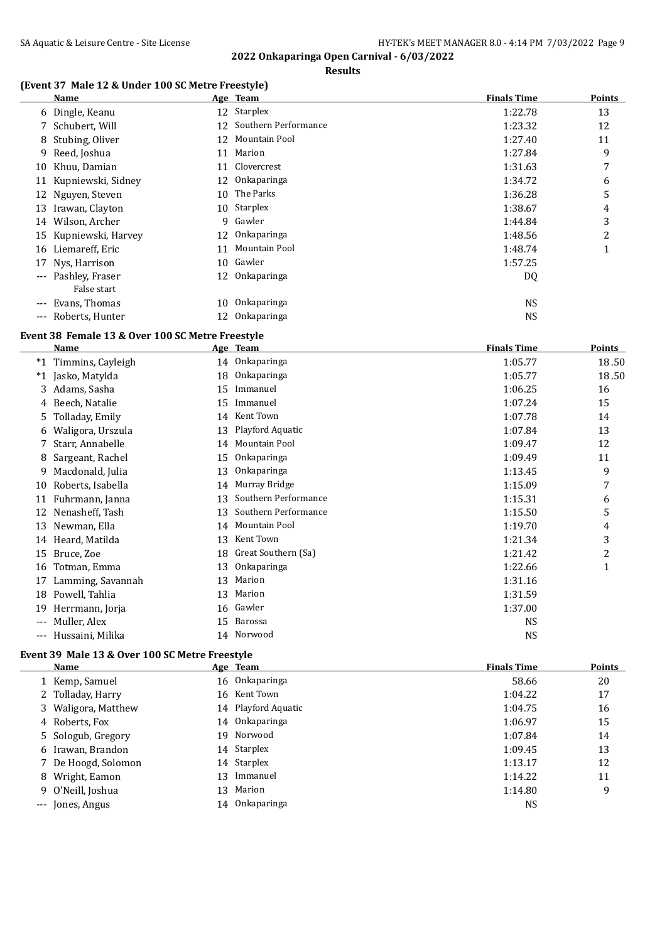#### **Results**

## **(Event 37 Male 12 & Under 100 SC Metre Freestyle)**

|                   | Name                  |    | Age Team             | <b>Finals Time</b> | Points |
|-------------------|-----------------------|----|----------------------|--------------------|--------|
|                   | 6 Dingle, Keanu       |    | 12 Starplex          | 1:22.78            | 13     |
|                   | 7 Schubert, Will      | 12 | Southern Performance | 1:23.32            | 12     |
|                   | 8 Stubing, Oliver     | 12 | Mountain Pool        | 1:27.40            | 11     |
|                   | 9 Reed, Joshua        | 11 | Marion               | 1:27.84            | 9      |
| 10                | Khuu, Damian          | 11 | Clovercrest          | 1:31.63            | 7      |
|                   | 11 Kupniewski, Sidney |    | 12 Onkaparinga       | 1:34.72            | 6      |
|                   | 12 Nguyen, Steven     | 10 | The Parks            | 1:36.28            | 5      |
| 13                | Irawan, Clayton       |    | 10 Starplex          | 1:38.67            | 4      |
| 14                | Wilson, Archer        | 9  | Gawler               | 1:44.84            | 3      |
| 15                | Kupniewski, Harvey    | 12 | <b>Onkaparinga</b>   | 1:48.56            | 2      |
| 16                | Liemareff, Eric       | 11 | Mountain Pool        | 1:48.74            | 1      |
| 17                | Nys, Harrison         |    | 10 Gawler            | 1:57.25            |        |
|                   | --- Pashley, Fraser   | 12 | Onkaparinga          | DQ                 |        |
|                   | False start           |    |                      |                    |        |
| $\qquad \qquad -$ | Evans, Thomas         | 10 | Onkaparinga          | <b>NS</b>          |        |
| $---$             | Roberts, Hunter       | 12 | Onkaparinga          | <b>NS</b>          |        |

## **Event 38 Female 13 & Over 100 SC Metre Freestyle**

|       | <b>Name</b>       |    | Age Team             | <b>Finals Time</b> | <b>Points</b>  |
|-------|-------------------|----|----------------------|--------------------|----------------|
| $*1$  | Timmins, Cayleigh | 14 | Onkaparinga          | 1:05.77            | 18.50          |
| $^*1$ | Jasko, Matylda    | 18 | Onkaparinga          | 1:05.77            | 18.50          |
| 3.    | Adams, Sasha      | 15 | Immanuel             | 1:06.25            | 16             |
|       | Beech, Natalie    | 15 | Immanuel             | 1:07.24            | 15             |
|       | Tolladay, Emily   | 14 | Kent Town            | 1:07.78            | 14             |
| 6     | Waligora, Urszula | 13 | Playford Aquatic     | 1:07.84            | 13             |
|       | Starr, Annabelle  | 14 | Mountain Pool        | 1:09.47            | 12             |
| 8     | Sargeant, Rachel  | 15 | Onkaparinga          | 1:09.49            | 11             |
| 9     | Macdonald, Julia  | 13 | Onkaparinga          | 1:13.45            | 9              |
| 10    | Roberts, Isabella | 14 | Murray Bridge        | 1:15.09            | 7              |
|       | Fuhrmann, Janna   | 13 | Southern Performance | 1:15.31            | 6              |
|       | Nenasheff, Tash   | 13 | Southern Performance | 1:15.50            | 5              |
| 13    | Newman, Ella      | 14 | Mountain Pool        | 1:19.70            | 4              |
| 14    | Heard, Matilda    | 13 | Kent Town            | 1:21.34            | 3              |
| 15    | Bruce, Zoe        | 18 | Great Southern (Sa)  | 1:21.42            | $\overline{c}$ |
| 16    | Totman, Emma      | 13 | Onkaparinga          | 1:22.66            | 1              |
| 17    | Lamming, Savannah | 13 | Marion               | 1:31.16            |                |
| 18    | Powell, Tahlia    | 13 | Marion               | 1:31.59            |                |
| 19    | Herrmann, Jorja   | 16 | Gawler               | 1:37.00            |                |
| $---$ | Muller, Alex      | 15 | Barossa              | <b>NS</b>          |                |
| ---   | Hussaini, Milika  | 14 | Norwood              | <b>NS</b>          |                |

#### **Event 39 Male 13 & Over 100 SC Metre Freestyle**

 $\frac{1}{1}$ 

| Name                |    | Age Team            | <b>Finals Time</b> | <b>Points</b> |
|---------------------|----|---------------------|--------------------|---------------|
| 1 Kemp, Samuel      |    | 16 Onkaparinga      | 58.66              | 20            |
| 2 Tolladay, Harry   |    | 16 Kent Town        | 1:04.22            | 17            |
| 3 Waligora, Matthew |    | 14 Playford Aquatic | 1:04.75            | 16            |
| 4 Roberts, Fox      |    | 14 Onkaparinga      | 1:06.97            | 15            |
| 5 Sologub, Gregory  |    | 19 Norwood          | 1:07.84            | 14            |
| 6 Irawan, Brandon   |    | 14 Starplex         | 1:09.45            | 13            |
| 7 De Hoogd, Solomon |    | 14 Starplex         | 1:13.17            | 12            |
| 8 Wright, Eamon     | 13 | Immanuel            | 1:14.22            | 11            |
| 9 O'Neill, Joshua   | 13 | Marion              | 1:14.80            | 9             |
| --- Jones, Angus    |    | 14 Onkaparinga      | NS                 |               |
|                     |    |                     |                    |               |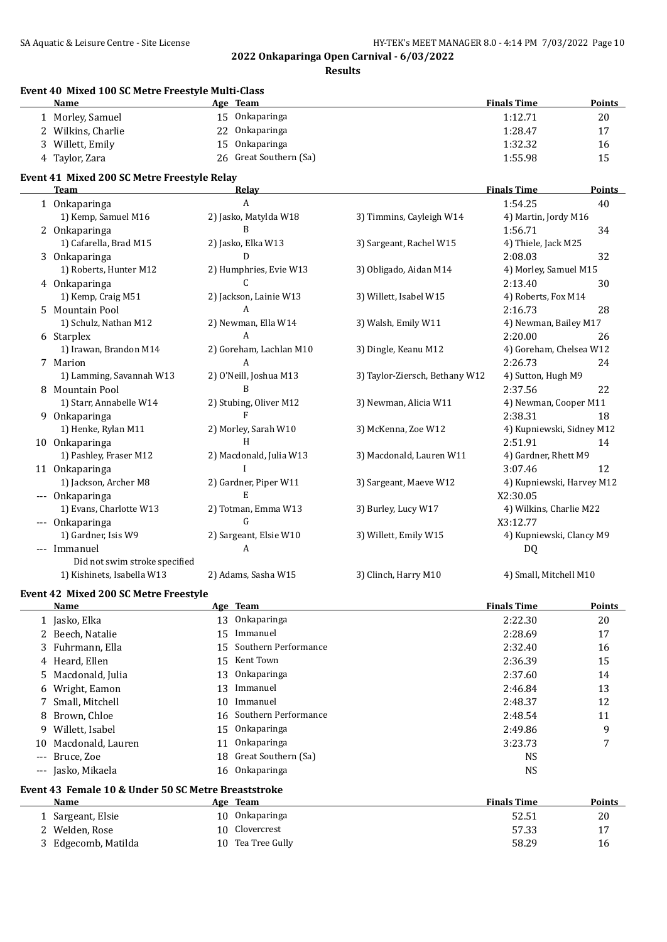#### SA Aquatic & Leisure Centre - Site License **HY-TEK's MEET MANAGER 8.0 - 4:14 PM 7/03/2022** Page 10

**2022 Onkaparinga Open Carnival - 6/03/2022**

|                                          | Event 40 Mixed 100 SC Metre Freestyle Multi-Class<br><b>Name</b> | Age Team                   |                                | <b>Finals Time</b>        | <b>Points</b> |
|------------------------------------------|------------------------------------------------------------------|----------------------------|--------------------------------|---------------------------|---------------|
|                                          | 1 Morley, Samuel                                                 | 15 Onkaparinga             |                                | 1:12.71                   | $20\,$        |
|                                          | 2 Wilkins, Charlie                                               | 22 Onkaparinga             |                                | 1:28.47                   | 17            |
| 3                                        | Willett, Emily                                                   | Onkaparinga<br>15          |                                | 1:32.32                   | 16            |
|                                          | 4 Taylor, Zara                                                   | 26 Great Southern (Sa)     |                                | 1:55.98                   | 15            |
|                                          | Event 41 Mixed 200 SC Metre Freestyle Relay                      |                            |                                |                           |               |
|                                          | <b>Team</b>                                                      | Relay                      |                                | <b>Finals Time</b>        | <b>Points</b> |
|                                          | 1 Onkaparinga                                                    | A                          |                                | 1:54.25                   | 40            |
|                                          | 1) Kemp, Samuel M16                                              | 2) Jasko, Matylda W18      | 3) Timmins, Cayleigh W14       | 4) Martin, Jordy M16      |               |
|                                          | 2 Onkaparinga                                                    | B                          |                                | 1:56.71                   | 34            |
|                                          | 1) Cafarella, Brad M15                                           | 2) Jasko, Elka W13         | 3) Sargeant, Rachel W15        | 4) Thiele, Jack M25       |               |
|                                          | 3 Onkaparinga                                                    | D                          |                                | 2:08.03                   | 32            |
|                                          | 1) Roberts, Hunter M12                                           | 2) Humphries, Evie W13     | 3) Obligado, Aidan M14         | 4) Morley, Samuel M15     |               |
|                                          | 4 Onkaparinga                                                    | C                          |                                | 2:13.40                   | 30            |
|                                          | 1) Kemp, Craig M51                                               | 2) Jackson, Lainie W13     | 3) Willett, Isabel W15         | 4) Roberts, Fox M14       |               |
| 5.                                       | Mountain Pool                                                    | A                          |                                | 2:16.73                   | 28            |
|                                          | 1) Schulz, Nathan M12                                            | 2) Newman, Ella W14        | 3) Walsh, Emily W11            | 4) Newman, Bailey M17     |               |
|                                          | 6 Starplex                                                       | A                          |                                | 2:20.00                   | 26            |
|                                          | 1) Irawan, Brandon M14                                           | 2) Goreham, Lachlan M10    | 3) Dingle, Keanu M12           | 4) Goreham, Chelsea W12   |               |
|                                          | 7 Marion                                                         | A                          |                                | 2:26.73                   | 24            |
|                                          | 1) Lamming, Savannah W13                                         | 2) O'Neill, Joshua M13     | 3) Taylor-Ziersch, Bethany W12 | 4) Sutton, Hugh M9        |               |
|                                          | 8 Mountain Pool                                                  | B                          |                                | 2:37.56                   | 22            |
|                                          | 1) Starr, Annabelle W14                                          | 2) Stubing, Oliver M12     | 3) Newman, Alicia W11          | 4) Newman, Cooper M11     |               |
|                                          |                                                                  | F                          |                                | 2:38.31                   | 18            |
|                                          | 9 Onkaparinga                                                    |                            |                                |                           |               |
|                                          | 1) Henke, Rylan M11                                              | 2) Morley, Sarah W10       | 3) McKenna, Zoe W12            | 4) Kupniewski, Sidney M12 |               |
|                                          | 10 Onkaparinga                                                   | H                          |                                | 2:51.91                   | 14            |
|                                          | 1) Pashley, Fraser M12                                           | 2) Macdonald, Julia W13    | 3) Macdonald, Lauren W11       | 4) Gardner, Rhett M9      |               |
|                                          | 11 Onkaparinga                                                   |                            |                                | 3:07.46                   | 12            |
|                                          | 1) Jackson, Archer M8                                            | 2) Gardner, Piper W11      | 3) Sargeant, Maeve W12         | 4) Kupniewski, Harvey M12 |               |
|                                          | --- Onkaparinga                                                  | E                          |                                | X2:30.05                  |               |
|                                          | 1) Evans, Charlotte W13                                          | 2) Totman, Emma W13        | 3) Burley, Lucy W17            | 4) Wilkins, Charlie M22   |               |
|                                          | --- Onkaparinga                                                  | G                          |                                | X3:12.77                  |               |
|                                          | 1) Gardner, Isis W9                                              | 2) Sargeant, Elsie W10     | 3) Willett, Emily W15          | 4) Kupniewski, Clancy M9  |               |
|                                          | --- Immanuel                                                     | A                          |                                | DQ                        |               |
|                                          | Did not swim stroke specified                                    |                            |                                |                           |               |
|                                          | 1) Kishinets, Isabella W13                                       | 2) Adams, Sasha W15        | 3) Clinch, Harry M10           | 4) Small, Mitchell M10    |               |
|                                          | Event 42 Mixed 200 SC Metre Freestyle                            |                            |                                |                           |               |
|                                          | Name                                                             | Age Team                   |                                | <b>Finals Time</b>        | <b>Points</b> |
|                                          | 1 Jasko, Elka                                                    | Onkaparinga<br>13          |                                | 2:22.30                   | 20            |
|                                          | 2 Beech, Natalie                                                 | Immanuel<br>15             |                                | 2:28.69                   | 17            |
| 3.                                       | Fuhrmann, Ella                                                   | Southern Performance<br>15 |                                | 2:32.40                   | 16            |
|                                          | 4 Heard, Ellen                                                   | Kent Town<br>15            |                                | 2:36.39                   | 15            |
| 5                                        | Macdonald, Julia                                                 | Onkaparinga<br>13          |                                | 2:37.60                   | 14            |
| 6                                        | Wright, Eamon                                                    | Immanuel<br>13             |                                | 2:46.84                   | 13            |
| 7                                        | Small, Mitchell                                                  | Immanuel<br>10             |                                | 2:48.37                   | 12            |
| 8                                        | Brown, Chloe                                                     | Southern Performance<br>16 |                                | 2:48.54                   | 11            |
| 9                                        | Willett, Isabel                                                  | Onkaparinga<br>15          |                                | 2:49.86                   | 9             |
|                                          | Macdonald, Lauren                                                | Onkaparinga<br>11          |                                | 3:23.73                   | 7             |
| 10                                       |                                                                  |                            |                                |                           |               |
| $---$                                    | Bruce, Zoe                                                       | Great Southern (Sa)<br>18  |                                | <b>NS</b>                 |               |
| $\hspace{0.05cm} \ldots \hspace{0.05cm}$ | Jasko, Mikaela                                                   | 16 Onkaparinga             |                                | <b>NS</b>                 |               |
|                                          | Event 43 Female 10 & Under 50 SC Metre Breaststroke              |                            |                                |                           |               |
|                                          | <u>Name</u>                                                      | Age Team                   |                                | <b>Finals Time</b>        | <b>Points</b> |
|                                          | 1 Sargeant, Elsie                                                | 10 Onkaparinga             |                                | 52.51                     | 20            |
|                                          | 2 Welden, Rose                                                   | Clovercrest<br>10          |                                | 57.33                     | 17            |
|                                          | 3 Edgecomb, Matilda                                              | 10 Tea Tree Gully          |                                | 58.29                     | 16            |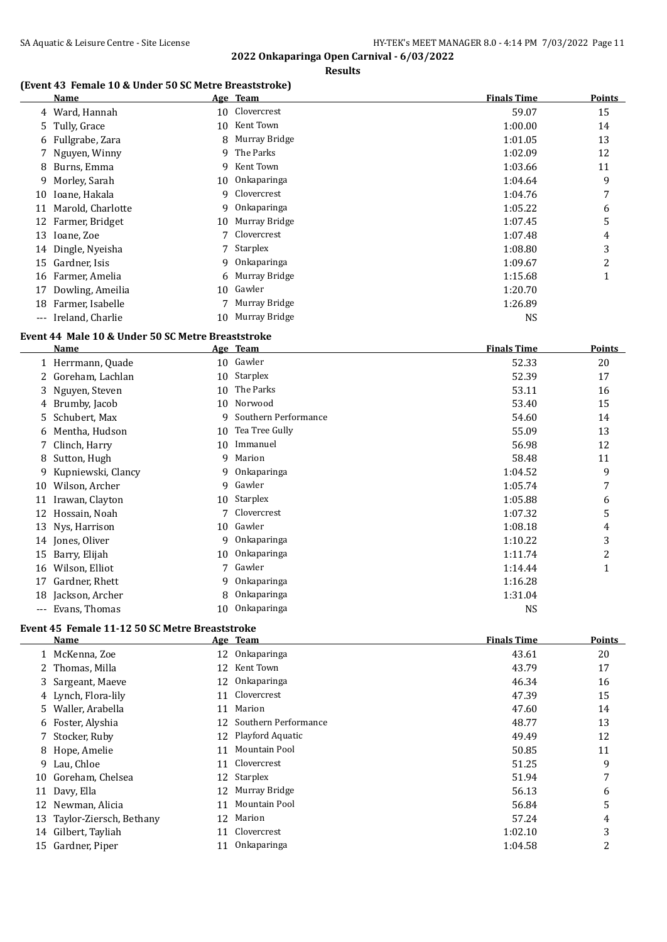## **2022 Onkaparinga Open Carnival - 6/03/2022 Results**

#### **(Event 43 Female 10 & Under 50 SC Metre Breaststroke)**

|       | Name               |    | Age Team        | <b>Finals Time</b> | <b>Points</b> |
|-------|--------------------|----|-----------------|--------------------|---------------|
|       | 4 Ward, Hannah     | 10 | Clovercrest     | 59.07              | 15            |
|       | 5 Tully, Grace     | 10 | Kent Town       | 1:00.00            | 14            |
|       | 6 Fullgrabe, Zara  |    | 8 Murray Bridge | 1:01.05            | 13            |
|       | 7 Nguyen, Winny    |    | 9 The Parks     | 1:02.09            | 12            |
|       | 8 Burns, Emma      | 9  | Kent Town       | 1:03.66            | 11            |
|       | 9 Morley, Sarah    | 10 | 0nkaparinga     | 1:04.64            | 9             |
| 10    | Ioane, Hakala      | 9  | Clovercrest     | 1:04.76            | 7             |
| 11    | Marold, Charlotte  | 9  | Onkaparinga     | 1:05.22            | 6             |
| 12    | Farmer, Bridget    | 10 | Murray Bridge   | 1:07.45            | 5             |
| 13    | Ioane, Zoe         |    | Clovercrest     | 1:07.48            | 4             |
|       | 14 Dingle, Nyeisha |    | 7 Starplex      | 1:08.80            | 3             |
|       | 15 Gardner, Isis   |    | 9 Onkaparinga   | 1:09.67            | 2             |
| 16    | Farmer, Amelia     |    | 6 Murray Bridge | 1:15.68            |               |
| 17    | Dowling, Ameilia   | 10 | Gawler          | 1:20.70            |               |
| 18    | Farmer, Isabelle   |    | Murray Bridge   | 1:26.89            |               |
| $---$ | Ireland, Charlie   | 10 | Murray Bridge   | <b>NS</b>          |               |

#### **Event 44 Male 10 & Under 50 SC Metre Breaststroke**

|       | Name               |    | Age Team             | <b>Finals Time</b> | Points |
|-------|--------------------|----|----------------------|--------------------|--------|
|       | 1 Herrmann, Quade  | 10 | Gawler               | 52.33              | 20     |
|       | 2 Goreham, Lachlan | 10 | Starplex             | 52.39              | 17     |
|       | 3 Nguyen, Steven   | 10 | The Parks            | 53.11              | 16     |
|       | 4 Brumby, Jacob    | 10 | Norwood              | 53.40              | 15     |
|       | 5 Schubert, Max    | q  | Southern Performance | 54.60              | 14     |
|       | 6 Mentha, Hudson   | 10 | Tea Tree Gully       | 55.09              | 13     |
|       | 7 Clinch, Harry    | 10 | Immanuel             | 56.98              | 12     |
|       | 8 Sutton, Hugh     | 9  | Marion               | 58.48              | 11     |
| 9     | Kupniewski, Clancy | 9. | Onkaparinga          | 1:04.52            | 9      |
| 10    | Wilson, Archer     | 9  | Gawler               | 1:05.74            | 7      |
| 11    | Irawan, Clayton    |    | 10 Starplex          | 1:05.88            | 6      |
| 12    | Hossain, Noah      |    | Clovercrest          | 1:07.32            | 5      |
| 13    | Nys, Harrison      | 10 | Gawler               | 1:08.18            | 4      |
|       | 14 Jones, Oliver   | 9  | Onkaparinga          | 1:10.22            | 3      |
| 15    | Barry, Elijah      | 10 | Onkaparinga          | 1:11.74            | 2      |
| 16    | Wilson, Elliot     |    | Gawler               | 1:14.44            | 1      |
| 17    | Gardner, Rhett     | 9  | Onkaparinga          | 1:16.28            |        |
| 18    | Jackson, Archer    | 8  | Onkaparinga          | 1:31.04            |        |
| $---$ | Evans, Thomas      | 10 | Onkaparinga          | <b>NS</b>          |        |

## **Event 45 Female 11-12 50 SC Metre Breaststroke**

 $\overline{\phantom{0}}$ 

| Name                       |    | Age Team                | <b>Finals Time</b> | Points         |
|----------------------------|----|-------------------------|--------------------|----------------|
| 1 McKenna, Zoe             |    | 12 Onkaparinga          | 43.61              | 20             |
| 2 Thomas, Milla            |    | 12 Kent Town            | 43.79              | 17             |
| 3 Sargeant, Maeve          |    | 12 Onkaparinga          | 46.34              | 16             |
| 4 Lynch, Flora-lily        |    | 11 Clovercrest          | 47.39              | 15             |
| 5 Waller, Arabella         |    | 11 Marion               | 47.60              | 14             |
| 6 Foster, Alyshia          |    | 12 Southern Performance | 48.77              | 13             |
| 7 Stocker, Ruby            |    | 12 Playford Aquatic     | 49.49              | 12             |
| 8 Hope, Amelie             | 11 | Mountain Pool           | 50.85              | 11             |
| 9 Lau, Chloe               |    | 11 Clovercrest          | 51.25              | 9              |
| 10 Goreham, Chelsea        |    | 12 Starplex             | 51.94              | 7              |
| 11 Davy, Ella              |    | 12 Murray Bridge        | 56.13              | 6              |
| 12 Newman, Alicia          | 11 | Mountain Pool           | 56.84              | 5              |
| 13 Taylor-Ziersch, Bethany | 12 | Marion                  | 57.24              | 4              |
| 14 Gilbert, Tayliah        |    | 11 Clovercrest          | 1:02.10            | 3              |
| 15 Gardner, Piper          | 11 | Onkaparinga             | 1:04.58            | $\overline{2}$ |
|                            |    |                         |                    |                |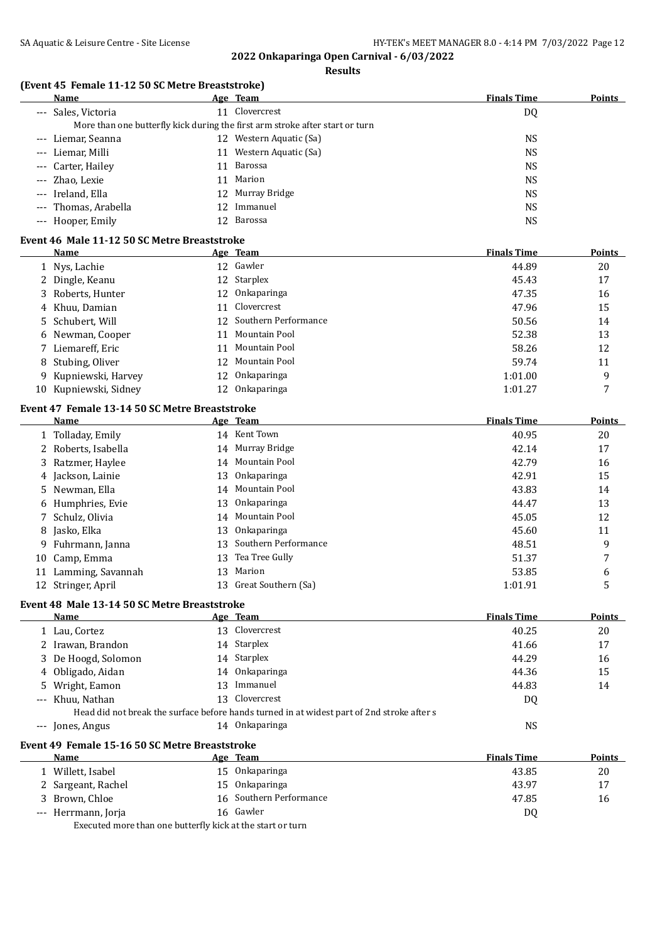|       | (Event 45 Female 11-12 50 SC Metre Breaststroke) |    | Results                                                                                    |                    |               |
|-------|--------------------------------------------------|----|--------------------------------------------------------------------------------------------|--------------------|---------------|
|       | Name                                             |    | <u>Age Team</u>                                                                            | <b>Finals Time</b> | <b>Points</b> |
|       | --- Sales, Victoria                              |    | 11 Clovercrest                                                                             | DQ                 |               |
|       |                                                  |    | More than one butterfly kick during the first arm stroke after start or turn               |                    |               |
|       | Liemar, Seanna                                   |    | 12 Western Aquatic (Sa)                                                                    | <b>NS</b>          |               |
|       | Liemar, Milli                                    |    | 11 Western Aquatic (Sa)                                                                    | <b>NS</b>          |               |
|       | Carter, Hailey                                   |    | 11 Barossa                                                                                 | <b>NS</b>          |               |
|       | Zhao, Lexie                                      |    | 11 Marion                                                                                  | <b>NS</b>          |               |
|       | Ireland, Ella                                    |    | 12 Murray Bridge                                                                           | <b>NS</b>          |               |
|       | Thomas, Arabella                                 | 12 | Immanuel                                                                                   | <b>NS</b>          |               |
| $---$ | Hooper, Emily                                    |    | 12 Barossa                                                                                 | <b>NS</b>          |               |
|       | Event 46 Male 11-12 50 SC Metre Breaststroke     |    |                                                                                            |                    |               |
|       | Name                                             |    | Age Team                                                                                   | <b>Finals Time</b> | <b>Points</b> |
|       | 1 Nys, Lachie                                    |    | 12 Gawler                                                                                  | 44.89              | 20            |
|       | 2 Dingle, Keanu                                  | 12 | Starplex                                                                                   | 45.43              | 17            |
| 3     | Roberts, Hunter                                  | 12 | Onkaparinga                                                                                | 47.35              | 16            |
|       | 4 Khuu, Damian                                   | 11 | Clovercrest                                                                                | 47.96              | 15            |
| 5     | Schubert, Will                                   | 12 | Southern Performance                                                                       | 50.56              | 14            |
|       | 6 Newman, Cooper                                 | 11 | Mountain Pool                                                                              | 52.38              | 13            |
|       | 7 Liemareff, Eric                                |    | 11 Mountain Pool                                                                           | 58.26              | 12            |
| 8     | Stubing, Oliver                                  |    | 12 Mountain Pool                                                                           | 59.74              | 11            |
| 9     | Kupniewski, Harvey                               |    | 12 Onkaparinga                                                                             | 1:01.00            | 9             |
|       | 10 Kupniewski, Sidney                            |    | 12 Onkaparinga                                                                             | 1:01.27            | 7             |
|       | Event 47 Female 13-14 50 SC Metre Breaststroke   |    |                                                                                            |                    |               |
|       | Name                                             |    | Age Team                                                                                   | <b>Finals Time</b> | <b>Points</b> |
|       | 1 Tolladay, Emily                                |    | 14 Kent Town                                                                               | 40.95              | 20            |
|       | 2 Roberts, Isabella                              |    | 14 Murray Bridge                                                                           | 42.14              | 17            |
|       | 3 Ratzmer, Haylee                                |    | 14 Mountain Pool                                                                           | 42.79              | 16            |
|       | 4 Jackson, Lainie                                | 13 | Onkaparinga                                                                                | 42.91              | 15            |
|       | 5 Newman, Ella                                   | 14 | Mountain Pool                                                                              | 43.83              | 14            |
|       | 6 Humphries, Evie                                | 13 | Onkaparinga                                                                                | 44.47              | 13            |
|       | 7 Schulz, Olivia                                 | 14 | Mountain Pool                                                                              | 45.05              | 12            |
| 8     | Jasko, Elka                                      | 13 | Onkaparinga                                                                                | 45.60              | 11            |
| 9.    | Fuhrmann, Janna                                  | 13 | Southern Performance                                                                       | 48.51              | 9             |
| 10    | Camp, Emma                                       |    | 13 Tea Tree Gully                                                                          | 51.37              | 7             |
|       | 11 Lamming, Savannah                             |    | 13 Marion                                                                                  | 53.85              | 6             |
|       | 12 Stringer, April                               |    | 13 Great Southern (Sa)                                                                     | 1:01.91            | 5             |
|       | Event 48 Male 13-14 50 SC Metre Breaststroke     |    |                                                                                            |                    |               |
|       | Name                                             |    | Age Team                                                                                   | <b>Finals Time</b> | <b>Points</b> |
|       | 1 Lau, Cortez                                    |    | 13 Clovercrest                                                                             | 40.25              | 20            |
|       | 2 Irawan, Brandon                                |    | 14 Starplex                                                                                | 41.66              | 17            |
|       | 3 De Hoogd, Solomon                              |    | 14 Starplex                                                                                | 44.29              | 16            |
|       | 4 Obligado, Aidan                                |    | 14 Onkaparinga                                                                             | 44.36              | 15            |
|       | 5 Wright, Eamon                                  |    | 13 Immanuel                                                                                | 44.83              | 14            |
|       | --- Khuu, Nathan                                 |    | 13 Clovercrest                                                                             | DQ                 |               |
|       |                                                  |    | Head did not break the surface before hands turned in at widest part of 2nd stroke after s |                    |               |
|       | --- Jones, Angus                                 |    | 14 Onkaparinga                                                                             | <b>NS</b>          |               |
|       | Event 49 Female 15-16 50 SC Metre Breaststroke   |    |                                                                                            |                    |               |
|       | Name                                             |    | <u>Age Team</u>                                                                            | <b>Finals Time</b> | <b>Points</b> |
|       | 1 Willett, Isabel                                |    | 15 Onkaparinga                                                                             | 43.85              | 20            |
|       | 2. Sargeant Rachel                               |    | 15 Onkaparinga                                                                             | 4397               | 17            |

| 2 Sargeant, Rachel                                         |  | 15 Onkaparinga          | 43.97 |    |
|------------------------------------------------------------|--|-------------------------|-------|----|
| 3 Brown, Chloe                                             |  | 16 Southern Performance | 47.85 | 16 |
| --- Herrmann, Jorja                                        |  | 16 Gawler               | DO    |    |
| Executed more than one butterfly kick at the start or turn |  |                         |       |    |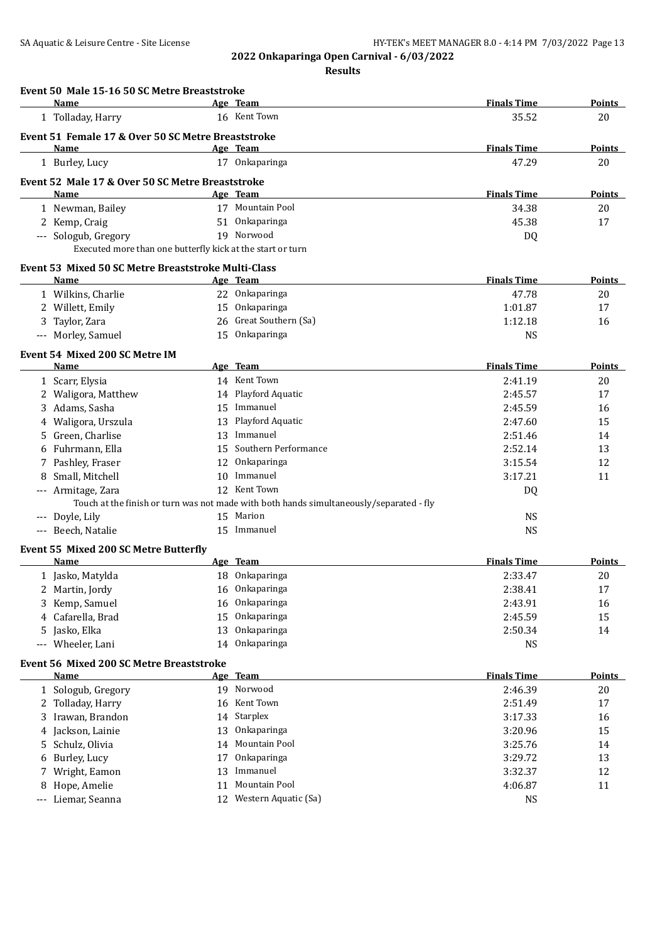| Event 50 Male 15-16 50 SC Metre Breaststroke               |    |                                                                                         |                    |               |
|------------------------------------------------------------|----|-----------------------------------------------------------------------------------------|--------------------|---------------|
| Name                                                       |    | Age Team                                                                                | <b>Finals Time</b> | Points        |
| 1 Tolladay, Harry                                          |    | 16 Kent Town                                                                            | 35.52              | 20            |
| Event 51 Female 17 & Over 50 SC Metre Breaststroke         |    |                                                                                         |                    |               |
| <b>Name</b>                                                |    | Age Team                                                                                | <b>Finals Time</b> | Points        |
| 1 Burley, Lucy                                             |    | 17 Onkaparinga                                                                          | 47.29              | 20            |
| Event 52 Male 17 & Over 50 SC Metre Breaststroke           |    |                                                                                         |                    |               |
| Name                                                       |    | Age Team                                                                                | <b>Finals Time</b> | Points        |
| 1 Newman, Bailey                                           |    | 17 Mountain Pool                                                                        | 34.38              | 20            |
| 2 Kemp, Craig                                              |    | 51 Onkaparinga                                                                          | 45.38              | 17            |
| --- Sologub, Gregory                                       |    | 19 Norwood                                                                              | DQ                 |               |
| Executed more than one butterfly kick at the start or turn |    |                                                                                         |                    |               |
| Event 53 Mixed 50 SC Metre Breaststroke Multi-Class        |    |                                                                                         |                    |               |
| Name                                                       |    | Age Team                                                                                | <b>Finals Time</b> | <b>Points</b> |
| 1 Wilkins, Charlie                                         |    | 22 Onkaparinga                                                                          | 47.78              | 20            |
| 2 Willett, Emily                                           |    | 15 Onkaparinga                                                                          | 1:01.87            | 17            |
| Taylor, Zara<br>3                                          |    | 26 Great Southern (Sa)                                                                  | 1:12.18            | 16            |
| --- Morley, Samuel                                         |    | 15 Onkaparinga                                                                          | <b>NS</b>          |               |
| Event 54 Mixed 200 SC Metre IM                             |    |                                                                                         |                    |               |
| Name                                                       |    | Age Team                                                                                | <b>Finals Time</b> | <b>Points</b> |
| 1 Scarr, Elysia                                            |    | 14 Kent Town                                                                            | 2:41.19            | 20            |
| 2 Waligora, Matthew                                        |    | 14 Playford Aquatic                                                                     | 2:45.57            | 17            |
| 3 Adams, Sasha                                             |    | 15 Immanuel                                                                             | 2:45.59            | 16            |
| 4 Waligora, Urszula                                        | 13 | Playford Aquatic                                                                        | 2:47.60            | 15            |
| 5 Green, Charlise                                          |    | 13 Immanuel                                                                             | 2:51.46            | 14            |
| 6 Fuhrmann, Ella                                           |    | 15 Southern Performance                                                                 | 2:52.14            | 13            |
| 7 Pashley, Fraser                                          |    | 12 Onkaparinga                                                                          | 3:15.54            | 12            |
| Small, Mitchell<br>8                                       |    | 10 Immanuel                                                                             | 3:17.21            | 11            |
| --- Armitage, Zara                                         |    | 12 Kent Town                                                                            | DQ                 |               |
|                                                            |    | Touch at the finish or turn was not made with both hands simultaneously/separated - fly |                    |               |
| Doyle, Lily                                                |    | 15 Marion                                                                               | <b>NS</b>          |               |
| --- Beech, Natalie                                         |    | 15 Immanuel                                                                             | <b>NS</b>          |               |
| Event 55 Mixed 200 SC Metre Butterfly                      |    |                                                                                         |                    |               |
| Name                                                       |    | Age Team                                                                                | <b>Finals Time</b> | Points        |
| 1 Jasko, Matylda                                           |    | 18 Onkaparinga                                                                          | 2:33.47            | 20            |
| Martin, Jordy                                              |    | 16 Onkaparinga                                                                          | 2:38.41            | 17            |
| Kemp, Samuel<br>3.                                         | 16 | Onkaparinga                                                                             | 2:43.91            | 16            |
| 4 Cafarella, Brad                                          | 15 | Onkaparinga                                                                             | 2:45.59            | 15            |
| Jasko, Elka<br>5.                                          | 13 | Onkaparinga                                                                             | 2:50.34            | 14            |
| --- Wheeler, Lani                                          | 14 | Onkaparinga                                                                             | <b>NS</b>          |               |
| <b>Event 56 Mixed 200 SC Metre Breaststroke</b>            |    |                                                                                         |                    |               |
| Name                                                       |    | Age Team                                                                                | <b>Finals Time</b> | <b>Points</b> |
| 1 Sologub, Gregory                                         | 19 | Norwood                                                                                 | 2:46.39            | 20            |
| 2 Tolladay, Harry                                          | 16 | Kent Town                                                                               | 2:51.49            | 17            |
| 3 Irawan, Brandon                                          | 14 | Starplex                                                                                | 3:17.33            | 16            |
| 4 Jackson, Lainie                                          | 13 | Onkaparinga                                                                             | 3:20.96            | 15            |
| Schulz, Olivia<br>5.                                       | 14 | Mountain Pool                                                                           | 3:25.76            | 14            |
| Burley, Lucy<br>6                                          | 17 | Onkaparinga                                                                             | 3:29.72            | 13            |
| Wright, Eamon<br>7                                         | 13 | Immanuel                                                                                | 3:32.37            | 12            |
| Hope, Amelie<br>8                                          | 11 | Mountain Pool                                                                           | 4:06.87            | 11            |
| Liemar, Seanna<br>$---$                                    |    | 12 Western Aquatic (Sa)                                                                 | <b>NS</b>          |               |
|                                                            |    |                                                                                         |                    |               |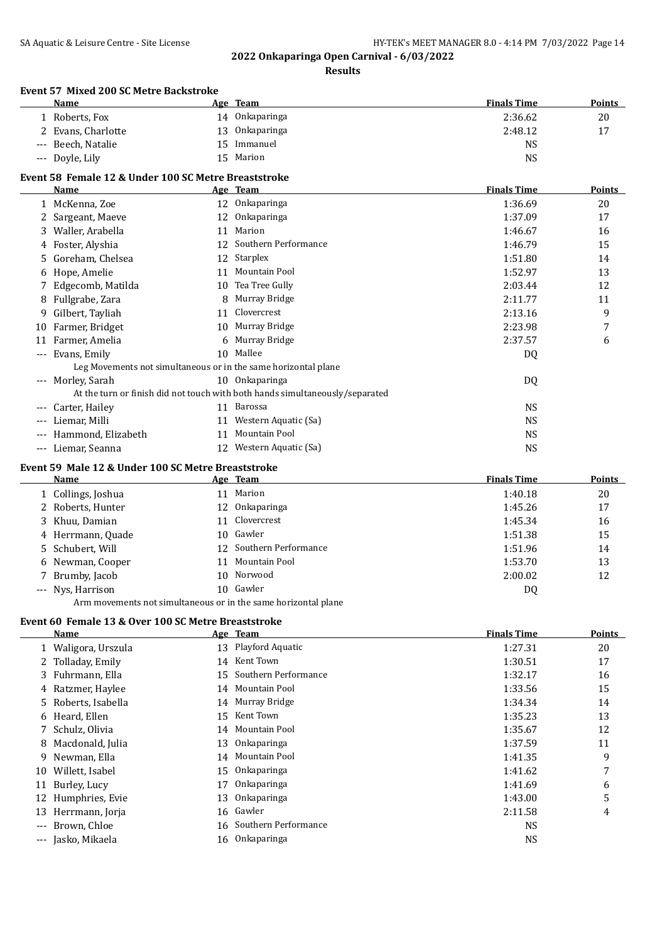#### **Results**

#### **Event 57 Mixed 200 SC Metre Backstroke**

| 20 |
|----|
| 17 |
|    |
|    |
|    |

## **Event 58 Female 12 & Under 100 SC Metre Breaststroke**

|       | Name                                                           |    | Age Team                                                                     | <b>Finals Time</b> | <b>Points</b> |
|-------|----------------------------------------------------------------|----|------------------------------------------------------------------------------|--------------------|---------------|
|       | 1 McKenna, Zoe                                                 | 12 | Onkaparinga                                                                  | 1:36.69            | 20            |
|       | Sargeant, Maeve                                                | 12 | Onkaparinga                                                                  | 1:37.09            | 17            |
| 3.    | Waller, Arabella                                               | 11 | Marion                                                                       | 1:46.67            | 16            |
|       | Foster, Alyshia                                                | 12 | Southern Performance                                                         | 1:46.79            | 15            |
| 5.    | Goreham, Chelsea                                               | 12 | Starplex                                                                     | 1:51.80            | 14            |
| 6     | Hope, Amelie                                                   | 11 | Mountain Pool                                                                | 1:52.97            | 13            |
|       | Edgecomb, Matilda                                              | 10 | Tea Tree Gully                                                               | 2:03.44            | 12            |
|       | 8 Fullgrabe, Zara                                              | 8  | Murray Bridge                                                                | 2:11.77            | 11            |
| 9     | Gilbert, Tayliah                                               | 11 | Clovercrest                                                                  | 2:13.16            | 9             |
| 10    | Farmer, Bridget                                                | 10 | Murray Bridge                                                                | 2:23.98            | 7             |
| 11    | Farmer, Amelia                                                 |    | 6 Murray Bridge                                                              | 2:37.57            | 6             |
| ---   | Evans, Emily                                                   | 10 | Mallee                                                                       | DQ                 |               |
|       | Leg Movements not simultaneous or in the same horizontal plane |    |                                                                              |                    |               |
| ---   | Morley, Sarah                                                  |    | 10 Onkaparinga                                                               | DQ                 |               |
|       |                                                                |    | At the turn or finish did not touch with both hands simultaneously/separated |                    |               |
|       | Carter, Hailey                                                 |    | 11 Barossa                                                                   | <b>NS</b>          |               |
| $---$ | Liemar, Milli                                                  | 11 | Western Aquatic (Sa)                                                         | NS                 |               |
| $---$ | Hammond, Elizabeth                                             | 11 | Mountain Pool                                                                | NS                 |               |
| $---$ | Liemar, Seanna                                                 | 12 | Western Aquatic (Sa)                                                         | <b>NS</b>          |               |

#### **Event 59 Male 12 & Under 100 SC Metre Breaststroke**

| Name                                                           |  | <u>Age Team</u>         | <b>Finals Time</b> | <b>Points</b> |
|----------------------------------------------------------------|--|-------------------------|--------------------|---------------|
| 1 Collings, Joshua                                             |  | 11 Marion               | 1:40.18            | 20            |
| 2 Roberts, Hunter                                              |  | 12 Onkaparinga          | 1:45.26            | 17            |
| 3 Khuu, Damian                                                 |  | 11 Clovercrest          | 1:45.34            | 16            |
| 4 Herrmann, Quade                                              |  | 10 Gawler               | 1:51.38            | 15            |
| 5 Schubert, Will                                               |  | 12 Southern Performance | 1:51.96            | 14            |
| 6 Newman, Cooper                                               |  | 11 Mountain Pool        | 1:53.70            | 13            |
| 7 Brumby, Jacob                                                |  | 10 Norwood              | 2:00.02            | 12            |
| --- Nys, Harrison                                              |  | 10 Gawler               | DQ                 |               |
| Arm movements not simultaneous or in the same horizontal plane |  |                         |                    |               |

#### **Event 60 Female 13 & Over 100 SC Metre Breaststroke**

|                     | Name                |    | Age Team                | <b>Finals Time</b> | <b>Points</b> |
|---------------------|---------------------|----|-------------------------|--------------------|---------------|
|                     | 1 Waligora, Urszula |    | 13 Playford Aquatic     | 1:27.31            | 20            |
|                     | 2 Tolladay, Emily   | 14 | Kent Town               | 1:30.51            | 17            |
|                     | 3 Fuhrmann, Ella    |    | 15 Southern Performance | 1:32.17            | 16            |
|                     | 4 Ratzmer, Haylee   |    | 14 Mountain Pool        | 1:33.56            | 15            |
|                     | 5 Roberts, Isabella |    | 14 Murray Bridge        | 1:34.34            | 14            |
|                     | 6 Heard, Ellen      |    | 15 Kent Town            | 1:35.23            | 13            |
|                     | 7 Schulz, Olivia    | 14 | Mountain Pool           | 1:35.67            | 12            |
|                     | 8 Macdonald, Julia  |    | 13 Onkaparinga          | 1:37.59            | 11            |
| 9                   | Newman, Ella        |    | 14 Mountain Pool        | 1:41.35            | 9             |
| 10                  | Willett, Isabel     | 15 | Onkaparinga             | 1:41.62            | 7             |
| 11                  | Burley, Lucy        | 17 | Onkaparinga             | 1:41.69            | 6             |
| 12                  | Humphries, Evie     | 13 | Onkaparinga             | 1:43.00            | 5             |
| 13                  | Herrmann, Jorja     |    | 16 Gawler               | 2:11.58            | 4             |
| $\qquad \qquad - -$ | Brown, Chloe        |    | 16 Southern Performance | <b>NS</b>          |               |
| $\qquad \qquad - -$ | Jasko, Mikaela      |    | 16 Onkaparinga          | <b>NS</b>          |               |
|                     |                     |    |                         |                    |               |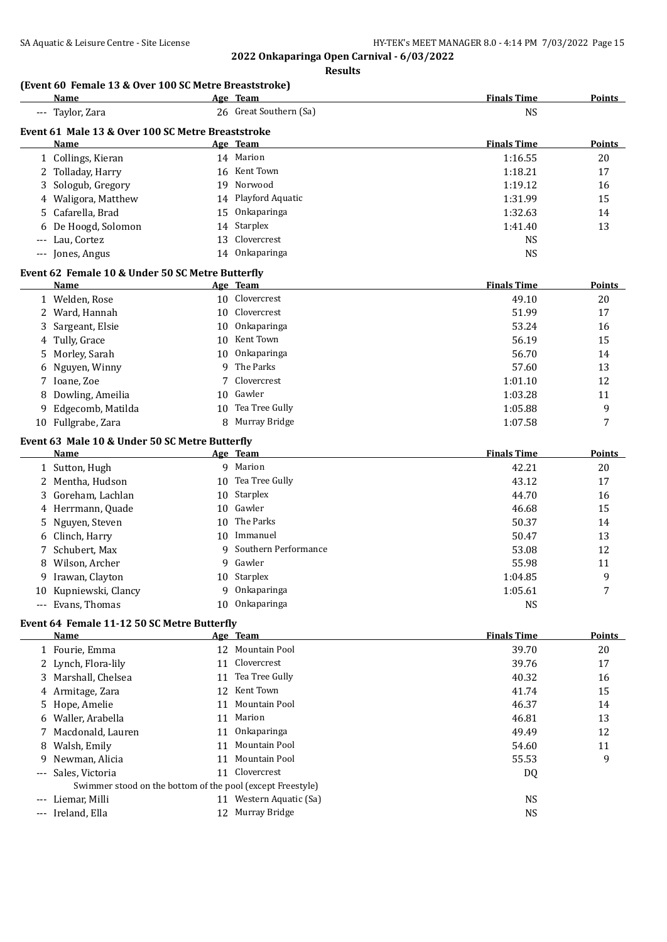**2022 Onkaparinga Open Carnival - 6/03/2022 Results**

## **(Event 60 Female 13 & Over 100 SC Metre Breaststroke)**

|    | Name                                                       |    | Age Team                | <b>Finals Time</b> | <b>Points</b> |
|----|------------------------------------------------------------|----|-------------------------|--------------------|---------------|
|    | --- Taylor, Zara                                           |    | 26 Great Southern (Sa)  | <b>NS</b>          |               |
|    | Event 61 Male 13 & Over 100 SC Metre Breaststroke          |    |                         |                    |               |
|    | Name                                                       |    | Age Team                | <b>Finals Time</b> | Points        |
|    | 1 Collings, Kieran                                         |    | 14 Marion               | 1:16.55            | 20            |
|    | 2 Tolladay, Harry                                          |    | 16 Kent Town            | 1:18.21            | 17            |
| 3  | Sologub, Gregory                                           | 19 | Norwood                 | 1:19.12            | 16            |
| 4  | Waligora, Matthew                                          |    | 14 Playford Aquatic     | 1:31.99            | 15            |
| 5  | Cafarella, Brad                                            | 15 | Onkaparinga             | 1:32.63            | 14            |
| 6  | De Hoogd, Solomon                                          | 14 | Starplex                | 1:41.40            | 13            |
|    | Lau, Cortez                                                | 13 | Clovercrest             | <b>NS</b>          |               |
|    | --- Jones, Angus                                           | 14 | Onkaparinga             | <b>NS</b>          |               |
|    |                                                            |    |                         |                    |               |
|    | Event 62 Female 10 & Under 50 SC Metre Butterfly           |    |                         |                    |               |
|    | <u>Name</u>                                                |    | Age Team                | <b>Finals Time</b> | <b>Points</b> |
|    | 1 Welden, Rose                                             |    | 10 Clovercrest          | 49.10              | 20            |
|    | 2 Ward, Hannah                                             | 10 | Clovercrest             | 51.99              | 17            |
| 3  | Sargeant, Elsie                                            | 10 | Onkaparinga             | 53.24              | 16            |
| 4  | Tully, Grace                                               | 10 | Kent Town               | 56.19              | 15            |
| 5  | Morley, Sarah                                              | 10 | Onkaparinga             | 56.70              | 14            |
| 6  | Nguyen, Winny                                              | 9  | The Parks               | 57.60              | 13            |
| 7  | Ioane, Zoe                                                 | 7  | Clovercrest             | 1:01.10            | 12            |
| 8  | Dowling, Ameilia                                           | 10 | Gawler                  | 1:03.28            | 11            |
| 9  | Edgecomb, Matilda                                          | 10 | Tea Tree Gully          | 1:05.88            | 9             |
|    | 10 Fullgrabe, Zara                                         | 8  | Murray Bridge           | 1:07.58            | 7             |
|    |                                                            |    |                         |                    |               |
|    | Event 63 Male 10 & Under 50 SC Metre Butterfly<br>Name     |    | Age Team                | <b>Finals Time</b> | Points        |
|    | 1 Sutton, Hugh                                             |    | 9 Marion                | 42.21              | 20            |
| 2  | Mentha, Hudson                                             | 10 | Tea Tree Gully          | 43.12              | 17            |
| 3  | Goreham, Lachlan                                           | 10 | Starplex                | 44.70              | 16            |
|    | Herrmann, Quade                                            | 10 | Gawler                  | 46.68              | 15            |
| 4  |                                                            | 10 | The Parks               |                    |               |
| 5  | Nguyen, Steven                                             |    |                         | 50.37              | 14            |
| 6  | Clinch, Harry                                              | 10 | Immanuel                | 50.47              | 13            |
| 7  | Schubert, Max                                              | 9  | Southern Performance    | 53.08              | 12            |
| 8  | Wilson, Archer                                             | 9  | Gawler                  | 55.98              | 11            |
| 9. | Irawan, Clayton                                            | 10 | Starplex                | 1:04.85            | 9             |
|    | 10 Kupniewski, Clancy                                      | 9  | Onkaparinga             | 1:05.61            | 7             |
|    | --- Evans, Thomas                                          | 10 | Onkaparinga             | <b>NS</b>          |               |
|    | Event 64 Female 11-12 50 SC Metre Butterfly                |    |                         |                    |               |
|    | Name                                                       |    | Age Team                | <b>Finals Time</b> | <b>Points</b> |
|    | 1 Fourie, Emma                                             |    | 12 Mountain Pool        | 39.70              | 20            |
|    | 2 Lynch, Flora-lily                                        | 11 | Clovercrest             | 39.76              | 17            |
| 3  | Marshall, Chelsea                                          | 11 | Tea Tree Gully          | 40.32              | 16            |
| 4  | Armitage, Zara                                             | 12 | Kent Town               | 41.74              | 15            |
| 5. | Hope, Amelie                                               | 11 | Mountain Pool           | 46.37              | 14            |
| 6  | Waller, Arabella                                           |    | 11 Marion               | 46.81              | 13            |
| 7  | Macdonald, Lauren                                          | 11 | Onkaparinga             | 49.49              | 12            |
| 8  | Walsh, Emily                                               | 11 | Mountain Pool           | 54.60              | 11            |
| 9  | Newman, Alicia                                             | 11 | Mountain Pool           | 55.53              | 9             |
|    | Sales, Victoria                                            |    | 11 Clovercrest          | DQ                 |               |
|    | Swimmer stood on the bottom of the pool (except Freestyle) |    |                         |                    |               |
|    | --- Liemar, Milli                                          |    | 11 Western Aquatic (Sa) | <b>NS</b>          |               |
|    | --- Ireland, Ella                                          |    | 12 Murray Bridge        | <b>NS</b>          |               |
|    |                                                            |    |                         |                    |               |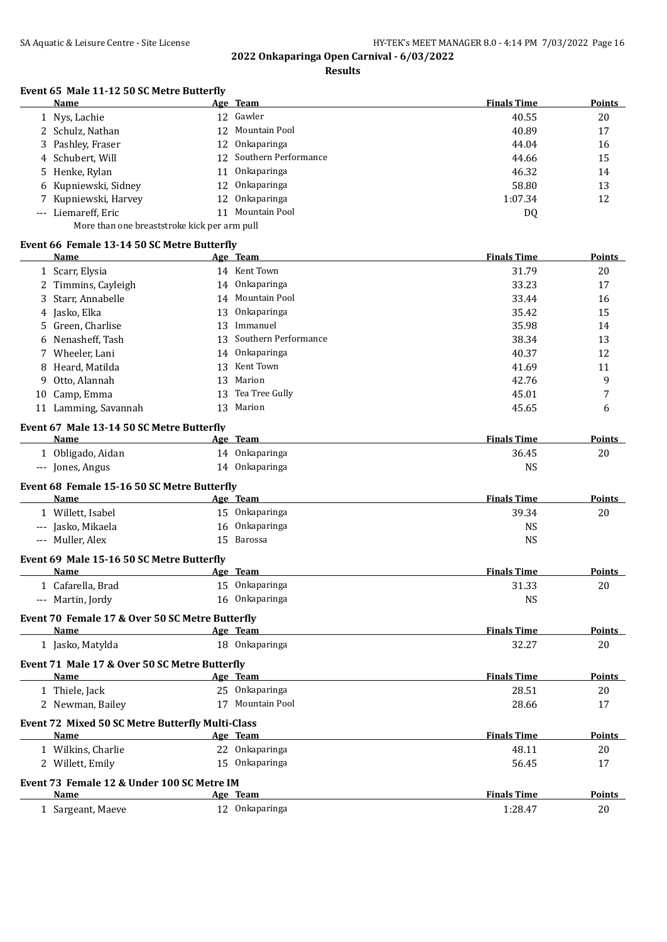## **Results**

# **Event 65 Male 11-12 50 SC Metre Butterfly**

| Name                                         |     | Age Team                | <b>Finals Time</b> | Points |  |
|----------------------------------------------|-----|-------------------------|--------------------|--------|--|
| 1 Nys, Lachie                                |     | 12 Gawler               | 40.55              | 20     |  |
| 2 Schulz, Nathan                             | 12. | Mountain Pool           | 40.89              | 17     |  |
| 3 Pashley, Fraser                            | 12  | Onkaparinga             | 44.04              | 16     |  |
| 4 Schubert, Will                             |     | 12 Southern Performance | 44.66              | 15     |  |
| 5 Henke, Rylan                               | 11  | Onkaparinga             | 46.32              | 14     |  |
| 6 Kupniewski, Sidney                         |     | 12 Onkaparinga          | 58.80              | 13     |  |
| 7 Kupniewski, Harvey                         |     | 12 Onkaparinga          | 1:07.34            | 12     |  |
| --- Liemareff, Eric                          | 11  | Mountain Pool           | DQ                 |        |  |
| More than one breaststroke kick per arm pull |     |                         |                    |        |  |

#### **Event 66 Female 13-14 50 SC Metre Butterfly**

| Name                                                     |    | <u>Age Team</u>         | <b>Finals Time</b> | <b>Points</b> |
|----------------------------------------------------------|----|-------------------------|--------------------|---------------|
| 1 Scarr, Elysia                                          |    | 14 Kent Town            | 31.79              | 20            |
| 2 Timmins, Cayleigh                                      |    | 14 Onkaparinga          | 33.23              | 17            |
| Starr, Annabelle<br>3                                    |    | 14 Mountain Pool        | 33.44              | 16            |
| Jasko, Elka<br>4                                         |    | 13 Onkaparinga          | 35.42              | 15            |
| Green, Charlise<br>5.                                    |    | 13 Immanuel             | 35.98              | 14            |
| Nenasheff, Tash<br>6                                     |    | 13 Southern Performance | 38.34              | 13            |
| 7 Wheeler, Lani                                          | 14 | Onkaparinga             | 40.37              | 12            |
| Heard, Matilda<br>8                                      | 13 | Kent Town               | 41.69              | 11            |
| Otto, Alannah<br>9                                       | 13 | Marion                  | 42.76              | 9             |
| 10 Camp, Emma                                            | 13 | Tea Tree Gully          | 45.01              | 7             |
| 11 Lamming, Savannah                                     |    | 13 Marion               | 45.65              | 6             |
| Event 67 Male 13-14 50 SC Metre Butterfly                |    |                         |                    |               |
| Name                                                     |    | Age Team                | <b>Finals Time</b> | <b>Points</b> |
| 1 Obligado, Aidan                                        |    | 14 Onkaparinga          | 36.45              | 20            |
| --- Jones, Angus                                         |    | 14 Onkaparinga          | <b>NS</b>          |               |
| Event 68 Female 15-16 50 SC Metre Butterfly              |    |                         |                    |               |
| Name                                                     |    | Age Team                | <b>Finals Time</b> | Points        |
| 1 Willett, Isabel                                        |    | 15 Onkaparinga          | 39.34              | 20            |
| --- Jasko, Mikaela                                       |    | 16 Onkaparinga          | <b>NS</b>          |               |
| --- Muller, Alex                                         | 15 | Barossa                 | <b>NS</b>          |               |
| Event 69 Male 15-16 50 SC Metre Butterfly                |    |                         |                    |               |
| Name                                                     |    | Age Team                | <b>Finals Time</b> | <b>Points</b> |
| 1 Cafarella, Brad                                        |    | 15 Onkaparinga          | 31.33              | 20            |
| --- Martin, Jordy                                        |    | 16 Onkaparinga          | <b>NS</b>          |               |
| Event 70 Female 17 & Over 50 SC Metre Butterfly          |    |                         |                    |               |
| Name                                                     |    | Age Team                | <b>Finals Time</b> | <b>Points</b> |
| 1 Jasko, Matylda                                         |    | 18 Onkaparinga          | 32.27              | 20            |
| Event 71 Male 17 & Over 50 SC Metre Butterfly            |    |                         |                    |               |
| <b>Name</b>                                              |    | Age Team                | <b>Finals Time</b> | Points        |
| 1 Thiele, Jack                                           |    | 25 Onkaparinga          | 28.51              | 20            |
| 2 Newman, Bailey                                         |    | 17 Mountain Pool        | 28.66              | 17            |
| Event 72 Mixed 50 SC Metre Butterfly Multi-Class<br>Name |    | Age Team                | <b>Finals Time</b> | Points        |
| 1 Wilkins, Charlie                                       |    | 22 Onkaparinga          | 48.11              |               |
|                                                          |    | 15 Onkaparinga          |                    | 20            |
| 2 Willett, Emily                                         |    |                         | 56.45              | 17            |
| Event 73 Female 12 & Under 100 SC Metre IM<br>Name       |    | Age Team                | <b>Finals Time</b> | <u>Points</u> |
| 1 Sargeant, Maeve                                        |    | 12 Onkaparinga          | 1:28.47            | 20            |
|                                                          |    |                         |                    |               |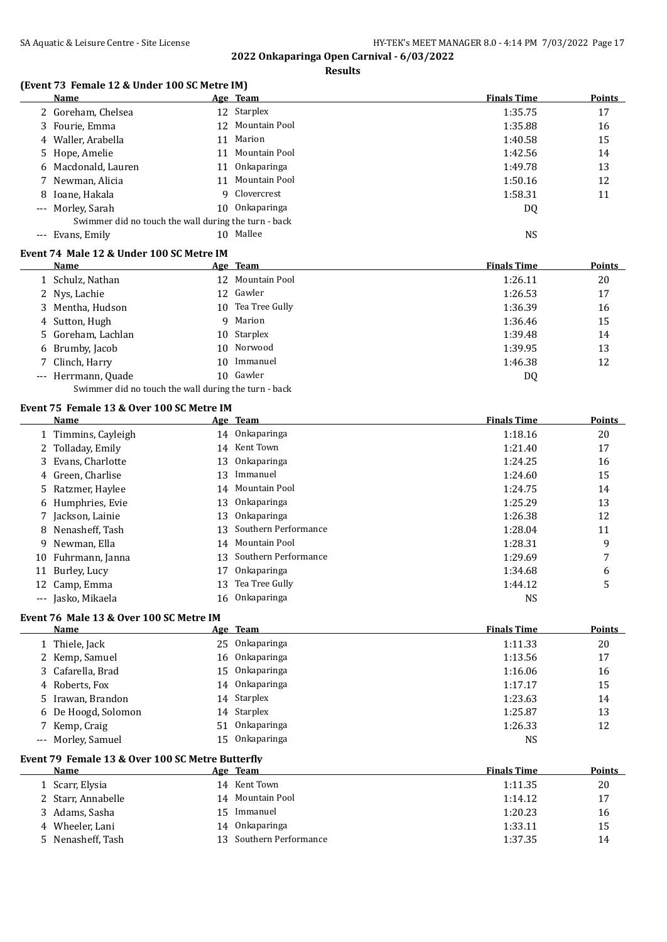**Results**

### **(Event 73 Female 12 & Under 100 SC Metre IM)**

|    | <b>Name</b>                                          |                 | Age Team             | <b>Finals Time</b> | <b>Points</b> |
|----|------------------------------------------------------|-----------------|----------------------|--------------------|---------------|
|    | 2 Goreham, Chelsea                                   |                 | 12 Starplex          | 1:35.75            | 17            |
| 3  | Fourie, Emma                                         | 12              | Mountain Pool        | 1:35.88            | 16            |
|    | Waller, Arabella                                     | 11              | Marion               | 1:40.58            | 15            |
| 5  | Hope, Amelie                                         | 11              | Mountain Pool        | 1:42.56            | 14            |
|    | Macdonald, Lauren                                    | 11              | Onkaparinga          | 1:49.78            | 13            |
|    | Newman, Alicia                                       | 11              | Mountain Pool        | 1:50.16            | 12            |
| 8  | Ioane, Hakala                                        | 9               | Clovercrest          | 1:58.31            | 11            |
|    | Morley, Sarah                                        | 10 <sup>°</sup> | Onkaparinga          | <b>DQ</b>          |               |
|    | Swimmer did no touch the wall during the turn - back |                 |                      |                    |               |
|    | --- Evans, Emily                                     |                 | 10 Mallee            | <b>NS</b>          |               |
|    | Event 74 Male 12 & Under 100 SC Metre IM             |                 |                      |                    |               |
|    | Name                                                 |                 | Age Team             | <b>Finals Time</b> | <b>Points</b> |
|    | 1 Schulz, Nathan                                     |                 | 12 Mountain Pool     | 1:26.11            | 20            |
|    | 2 Nys, Lachie                                        |                 | 12 Gawler            | 1:26.53            | 17            |
| 3  | Mentha, Hudson                                       | 10              | Tea Tree Gully       | 1:36.39            | 16            |
| 4  | Sutton, Hugh                                         | 9               | Marion               | 1:36.46            | 15            |
| 5. | Goreham, Lachlan                                     | 10              | Starplex             | 1:39.48            | 14            |
| 6  | Brumby, Jacob                                        | 10              | Norwood              | 1:39.95            | 13            |
| 7  | Clinch, Harry                                        | 10              | Immanuel             | 1:46.38            | 12            |
|    | --- Herrmann, Quade                                  |                 | 10 Gawler            | DQ                 |               |
|    | Swimmer did no touch the wall during the turn - back |                 |                      |                    |               |
|    | Event 75 Female 13 & Over 100 SC Metre IM            |                 |                      |                    |               |
|    | Name                                                 |                 | Age Team             | <b>Finals Time</b> | Points        |
|    | 1 Timmins, Cayleigh                                  |                 | 14 Onkaparinga       | 1:18.16            | 20            |
|    | 2 Tolladay, Emily                                    | 14              | Kent Town            | 1:21.40            | 17            |
| 3  | Evans, Charlotte                                     | 13              | Onkaparinga          | 1:24.25            | 16            |
| 4  | Green, Charlise                                      | 13              | Immanuel             | 1:24.60            | 15            |
| 5  | Ratzmer, Haylee                                      | 14              | Mountain Pool        | 1:24.75            | 14            |
| 6  | Humphries, Evie                                      | 13              | Onkaparinga          | 1:25.29            | 13            |
|    | 7 Jackson, Lainie                                    | 13              | Onkaparinga          | 1:26.38            | 12            |
| 8  | Nenasheff, Tash                                      | 13              | Southern Performance | 1:28.04            | 11            |
| 9  | Newman, Ella                                         | 14              | Mountain Pool        | 1:28.31            | 9             |
| 10 | Fuhrmann, Janna                                      | 13              | Southern Performance | 1:29.69            | 7             |
| 11 | Burley, Lucy                                         | 17              | Onkaparinga          | 1:34.68            | 6             |
|    | 12 Camp, Emma                                        | 13              | Tea Tree Gully       | 1:44.12            | 5             |
|    | --- Jasko, Mikaela                                   | 16              | Onkaparinga          | <b>NS</b>          |               |

#### **Event 76 Male 13 & Over 100 SC Metre IM**

| Name                | Age Team       | <b>Finals Time</b> | Points |
|---------------------|----------------|--------------------|--------|
| 1 Thiele, Jack      | 25 Onkaparinga | 1:11.33            | 20     |
| 2 Kemp, Samuel      | 16 Onkaparinga | 1:13.56            | 17     |
| 3 Cafarella, Brad   | 15 Onkaparinga | 1:16.06            | 16     |
| 4 Roberts, Fox      | 14 Onkaparinga | 1:17.17            | 15     |
| 5 Irawan, Brandon   | 14 Starplex    | 1:23.63            | 14     |
| 6 De Hoogd, Solomon | 14 Starplex    | 1:25.87            | 13     |
| 7 Kemp, Craig       | 51 Onkaparinga | 1:26.33            | 12     |
| --- Morley, Samuel  | 15 Onkaparinga | NS                 |        |

## **Event 79 Female 13 & Over 100 SC Metre Butterfly**

| <b>Name</b>        |     | Age Team                | <b>Finals Time</b> | <b>Points</b> |
|--------------------|-----|-------------------------|--------------------|---------------|
| 1 Scarr, Elysia    |     | 14 Kent Town            | 1:11.35            | 20            |
| 2 Starr, Annabelle |     | 14 Mountain Pool        | 1:14.12            | 17            |
| 3 Adams, Sasha     | 15. | Immanuel                | 1:20.23            | 16            |
| 4 Wheeler, Lani    |     | 14 Onkaparinga          | 1:33.11            | 15            |
| 5 Nenasheff, Tash  |     | 13 Southern Performance | 1:37.35            | 14            |